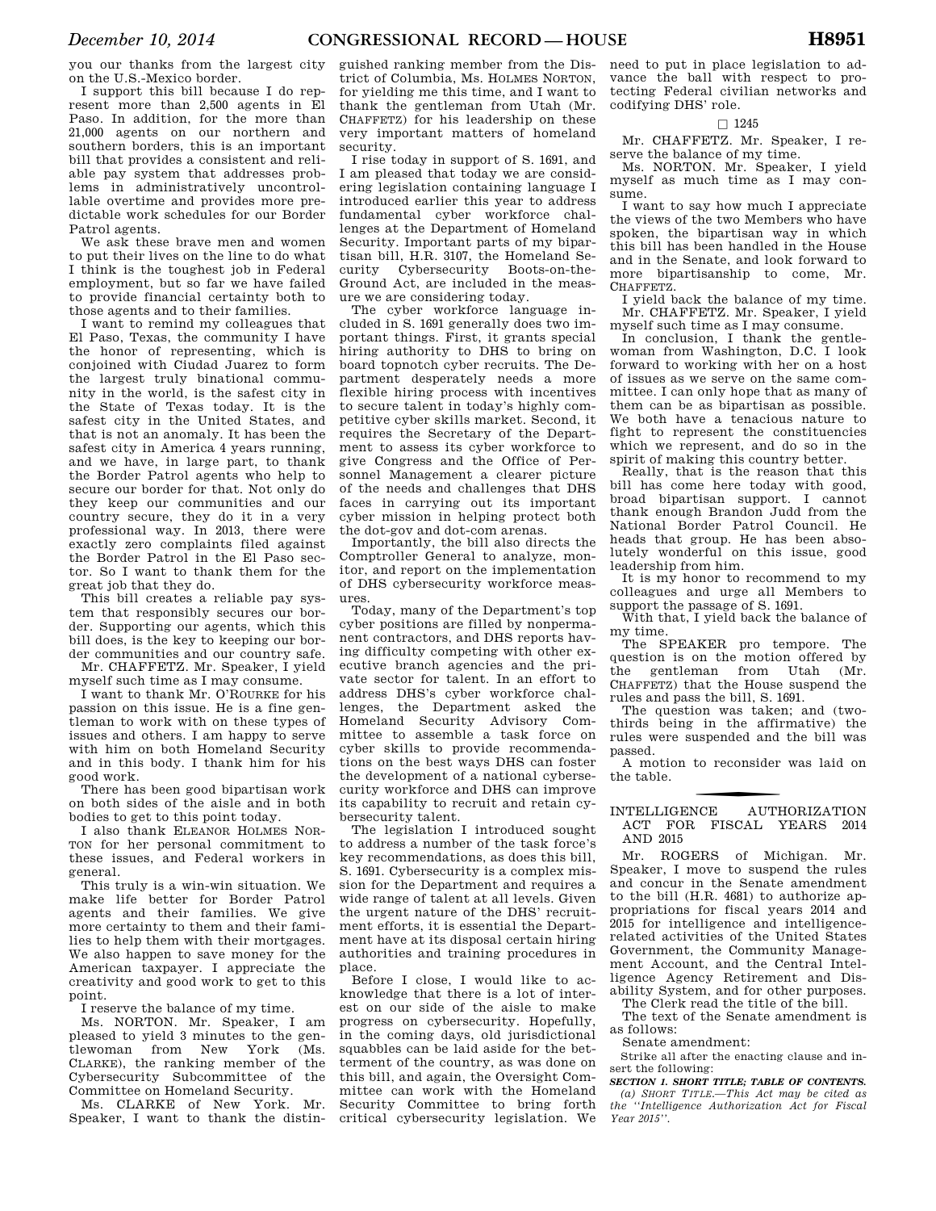you our thanks from the largest city on the U.S.-Mexico border.

I support this bill because I do represent more than 2,500 agents in El Paso. In addition, for the more than 21,000 agents on our northern and southern borders, this is an important bill that provides a consistent and reliable pay system that addresses problems in administratively uncontrollable overtime and provides more predictable work schedules for our Border Patrol agents.

We ask these brave men and women to put their lives on the line to do what I think is the toughest job in Federal employment, but so far we have failed to provide financial certainty both to those agents and to their families.

I want to remind my colleagues that El Paso, Texas, the community I have the honor of representing, which is conjoined with Ciudad Juarez to form the largest truly binational community in the world, is the safest city in the State of Texas today. It is the safest city in the United States, and that is not an anomaly. It has been the safest city in America 4 years running, and we have, in large part, to thank the Border Patrol agents who help to secure our border for that. Not only do they keep our communities and our country secure, they do it in a very professional way. In 2013, there were exactly zero complaints filed against the Border Patrol in the El Paso sector. So I want to thank them for the great job that they do.

This bill creates a reliable pay system that responsibly secures our border. Supporting our agents, which this bill does, is the key to keeping our border communities and our country safe. Mr. CHAFFETZ. Mr. Speaker, I yield

myself such time as I may consume.

I want to thank Mr. O'ROURKE for his passion on this issue. He is a fine gentleman to work with on these types of issues and others. I am happy to serve with him on both Homeland Security and in this body. I thank him for his good work.

There has been good bipartisan work on both sides of the aisle and in both bodies to get to this point today.

I also thank ELEANOR HOLMES NOR-TON for her personal commitment to these issues, and Federal workers in general.

This truly is a win-win situation. We make life better for Border Patrol agents and their families. We give more certainty to them and their families to help them with their mortgages. We also happen to save money for the American taxpayer. I appreciate the creativity and good work to get to this point.

I reserve the balance of my time.

Ms. NORTON. Mr. Speaker, I am pleased to yield 3 minutes to the gentlewoman from New York (Ms. CLARKE), the ranking member of the Cybersecurity Subcommittee of the Committee on Homeland Security.

Ms. CLARKE of New York. Mr. Speaker, I want to thank the distin-

guished ranking member from the District of Columbia, Ms. HOLMES NORTON, for yielding me this time, and I want to thank the gentleman from Utah (Mr. CHAFFETZ) for his leadership on these very important matters of homeland security.

I rise today in support of S. 1691, and I am pleased that today we are considering legislation containing language I introduced earlier this year to address fundamental cyber workforce challenges at the Department of Homeland Security. Important parts of my bipartisan bill, H.R. 3107, the Homeland Security Cybersecurity Boots-on-the-Ground Act, are included in the measure we are considering today.

The cyber workforce language included in S. 1691 generally does two important things. First, it grants special hiring authority to DHS to bring on board topnotch cyber recruits. The Department desperately needs a more flexible hiring process with incentives to secure talent in today's highly competitive cyber skills market. Second, it requires the Secretary of the Department to assess its cyber workforce to give Congress and the Office of Personnel Management a clearer picture of the needs and challenges that DHS faces in carrying out its important cyber mission in helping protect both the dot-gov and dot-com arenas.

Importantly, the bill also directs the Comptroller General to analyze, monitor, and report on the implementation of DHS cybersecurity workforce measures.

Today, many of the Department's top cyber positions are filled by nonpermanent contractors, and DHS reports having difficulty competing with other executive branch agencies and the private sector for talent. In an effort to address DHS's cyber workforce challenges, the Department asked the Homeland Security Advisory Committee to assemble a task force on cyber skills to provide recommendations on the best ways DHS can foster the development of a national cybersecurity workforce and DHS can improve its capability to recruit and retain cybersecurity talent.

The legislation I introduced sought to address a number of the task force's key recommendations, as does this bill S. 1691. Cybersecurity is a complex mission for the Department and requires a wide range of talent at all levels. Given the urgent nature of the DHS' recruitment efforts, it is essential the Department have at its disposal certain hiring authorities and training procedures in place.

Before I close, I would like to acknowledge that there is a lot of interest on our side of the aisle to make progress on cybersecurity. Hopefully, in the coming days, old jurisdictional squabbles can be laid aside for the betterment of the country, as was done on this bill, and again, the Oversight Committee can work with the Homeland Security Committee to bring forth critical cybersecurity legislation. We

need to put in place legislation to advance the ball with respect to protecting Federal civilian networks and codifying DHS' role.

## $\square$  1245

Mr. CHAFFETZ. Mr. Speaker, I reserve the balance of my time.

Ms. NORTON. Mr. Speaker, I yield myself as much time as I may consume.

I want to say how much I appreciate the views of the two Members who have spoken, the bipartisan way in which this bill has been handled in the House and in the Senate, and look forward to more bipartisanship to come, Mr. CHAFFETZ.

I yield back the balance of my time. Mr. CHAFFETZ. Mr. Speaker, I yield myself such time as I may consume.

In conclusion, I thank the gentlewoman from Washington, D.C. I look forward to working with her on a host of issues as we serve on the same committee. I can only hope that as many of them can be as bipartisan as possible. We both have a tenacious nature to fight to represent the constituencies which we represent, and do so in the spirit of making this country better.

Really, that is the reason that this bill has come here today with good, broad bipartisan support. I cannot thank enough Brandon Judd from the National Border Patrol Council. He heads that group. He has been absolutely wonderful on this issue, good leadership from him.

It is my honor to recommend to my colleagues and urge all Members to support the passage of S. 1691.

With that, I yield back the balance of my time.

The SPEAKER pro tempore. The question is on the motion offered by the gentleman from Utah (Mr. CHAFFETZ) that the House suspend the rules and pass the bill, S. 1691.

The question was taken; and (twothirds being in the affirmative) the rules were suspended and the bill was passed.

A motion to reconsider was laid on the table.

# f INTELLIGENCE AUTHORIZATION ACT FOR FISCAL YEARS 2014 AND 2015

Mr. ROGERS of Michigan. Mr. Speaker, I move to suspend the rules and concur in the Senate amendment to the bill (H.R. 4681) to authorize appropriations for fiscal years 2014 and 2015 for intelligence and intelligencerelated activities of the United States Government, the Community Management Account, and the Central Intelligence Agency Retirement and Disability System, and for other purposes.

The Clerk read the title of the bill.

The text of the Senate amendment is as follows:

Senate amendment:

Strike all after the enacting clause and insert the following:

*SECTION 1. SHORT TITLE; TABLE OF CONTENTS. (a) SHORT TITLE.—This Act may be cited as the ''Intelligence Authorization Act for Fiscal Year 2015''.*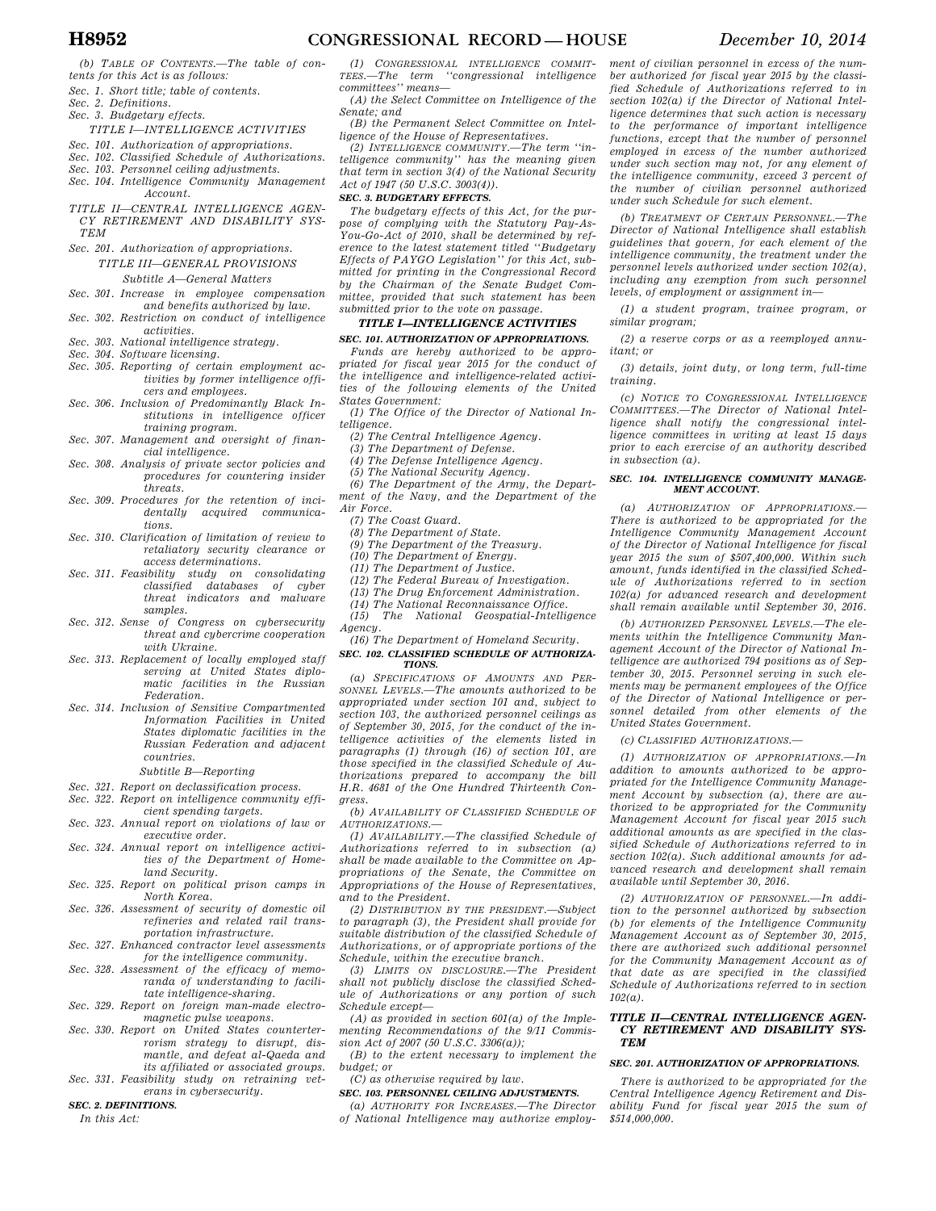*(b) TABLE OF CONTENTS.—The table of contents for this Act is as follows:* 

- *Sec. 1. Short title; table of contents. Sec. 2. Definitions.*
- 
- *Sec. 3. Budgetary effects.*

# *TITLE I—INTELLIGENCE ACTIVITIES*

- *Sec. 101. Authorization of appropriations.*
- *Sec. 102. Classified Schedule of Authorizations.*
- *Sec. 103. Personnel ceiling adjustments. Sec. 104. Intelligence Community Management Account.*
- *TITLE II—CENTRAL INTELLIGENCE AGEN-CY RETIREMENT AND DISABILITY SYS-TEM*
- *Sec. 201. Authorization of appropriations. TITLE III—GENERAL PROVISIONS Subtitle A—General Matters*
- *Sec. 301. Increase in employee compensation and benefits authorized by law. Sec. 302. Restriction on conduct of intelligence*
- *activities. Sec. 303. National intelligence strategy.*
- 
- *Sec. 304. Software licensing.*
- *Sec. 305. Reporting of certain employment activities by former intelligence officers and employees.*
- *Sec. 306. Inclusion of Predominantly Black Institutions in intelligence officer training program.*
- *Sec. 307. Management and oversight of financial intelligence.*
- *Sec. 308. Analysis of private sector policies and procedures for countering insider threats.*
- *Sec. 309. Procedures for the retention of incidentally acquired communications.*
- *Sec. 310. Clarification of limitation of review to retaliatory security clearance or access determinations.*
- *Sec. 311. Feasibility study on consolidating classified databases of cyber threat indicators and malware samples.*
- *Sec. 312. Sense of Congress on cybersecurity threat and cybercrime cooperation with Ukraine.*
- *Sec. 313. Replacement of locally employed staff serving at United States diplomatic facilities in the Russian Federation.*
- *Sec. 314. Inclusion of Sensitive Compartmented Information Facilities in United States diplomatic facilities in the Russian Federation and adjacent countries.*

### *Subtitle B—Reporting*

- *Sec. 321. Report on declassification process.*
- *Sec. 322. Report on intelligence community efficient spending targets.*
- *Sec. 323. Annual report on violations of law or executive order.*
- *Sec. 324. Annual report on intelligence activities of the Department of Homeland Security.*
- *Sec. 325. Report on political prison camps in North Korea.*
- *Sec. 326. Assessment of security of domestic oil refineries and related rail transportation infrastructure.*
- *Sec. 327. Enhanced contractor level assessments for the intelligence community.*
- *Sec. 328. Assessment of the efficacy of memoranda of understanding to facili-*
- *tate intelligence-sharing. Sec. 329. Report on foreign man-made electromagnetic pulse weapons.*
- *Sec. 330. Report on United States counterterrorism strategy to disrupt, dismantle, and defeat al-Qaeda and its affiliated or associated groups.*
- *Sec. 331. Feasibility study on retraining veterans in cybersecurity.*

#### *SEC. 2. DEFINITIONS.*

*In this Act:* 

*(1) CONGRESSIONAL INTELLIGENCE COMMIT-TEES.—The term ''congressional intelligence committees'' means—* 

*(A) the Select Committee on Intelligence of the Senate; and* 

*(B) the Permanent Select Committee on Intelligence of the House of Representatives.* 

*(2) INTELLIGENCE COMMUNITY.—The term ''intelligence community'' has the meaning given that term in section 3(4) of the National Security Act of 1947 (50 U.S.C. 3003(4)).* 

#### *SEC. 3. BUDGETARY EFFECTS.*

*The budgetary effects of this Act, for the purpose of complying with the Statutory Pay-As-You-Go-Act of 2010, shall be determined by reference to the latest statement titled ''Budgetary Effects of PAYGO Legislation'' for this Act, submitted for printing in the Congressional Record by the Chairman of the Senate Budget Committee, provided that such statement has been submitted prior to the vote on passage.* 

### *TITLE I—INTELLIGENCE ACTIVITIES*

# *SEC. 101. AUTHORIZATION OF APPROPRIATIONS.*

*Funds are hereby authorized to be appropriated for fiscal year 2015 for the conduct of the intelligence and intelligence-related activities of the following elements of the United States Government:* 

- *(1) The Office of the Director of National Intelligence.* 
	- *(2) The Central Intelligence Agency.*
	- *(3) The Department of Defense.*
	- *(4) The Defense Intelligence Agency.*
	- *(5) The National Security Agency.*

*(6) The Department of the Army, the Department of the Navy, and the Department of the Air Force.* 

- *(7) The Coast Guard.*
- *(8) The Department of State.*
- *(9) The Department of the Treasury.*
- *(10) The Department of Energy.*
- *(11) The Department of Justice.*
- *(12) The Federal Bureau of Investigation.*
- *(13) The Drug Enforcement Administration.*
- *(14) The National Reconnaissance Office.*

*(15) The National Geospatial-Intelligence Agency.* 

*(16) The Department of Homeland Security. SEC. 102. CLASSIFIED SCHEDULE OF AUTHORIZA-*

# *TIONS.*

*(a) SPECIFICATIONS OF AMOUNTS AND PER-SONNEL LEVELS.—The amounts authorized to be appropriated under section 101 and, subject to section 103, the authorized personnel ceilings as of September 30, 2015, for the conduct of the intelligence activities of the elements listed in paragraphs (1) through (16) of section 101, are those specified in the classified Schedule of Authorizations prepared to accompany the bill H.R. 4681 of the One Hundred Thirteenth Congress.* 

*(b) AVAILABILITY OF CLASSIFIED SCHEDULE OF AUTHORIZATIONS.—* 

*(1) AVAILABILITY.—The classified Schedule of Authorizations referred to in subsection (a) shall be made available to the Committee on Appropriations of the Senate, the Committee on Appropriations of the House of Representatives, and to the President.* 

*(2) DISTRIBUTION BY THE PRESIDENT.—Subject to paragraph (3), the President shall provide for suitable distribution of the classified Schedule of Authorizations, or of appropriate portions of the Schedule, within the executive branch.* 

*(3) LIMITS ON DISCLOSURE.—The President shall not publicly disclose the classified Schedule of Authorizations or any portion of such Schedule except—* 

*(A) as provided in section 601(a) of the Implementing Recommendations of the 9/11 Commission Act of 2007 (50 U.S.C. 3306(a));* 

*(B) to the extent necessary to implement the budget; or* 

*(C) as otherwise required by law.* 

### *SEC. 103. PERSONNEL CEILING ADJUSTMENTS.*

*(a) AUTHORITY FOR INCREASES.—The Director of National Intelligence may authorize employ-* *ment of civilian personnel in excess of the number authorized for fiscal year 2015 by the classified Schedule of Authorizations referred to in section 102(a) if the Director of National Intelligence determines that such action is necessary to the performance of important intelligence functions, except that the number of personnel employed in excess of the number authorized under such section may not, for any element of the intelligence community, exceed 3 percent of the number of civilian personnel authorized under such Schedule for such element.* 

*(b) TREATMENT OF CERTAIN PERSONNEL.—The Director of National Intelligence shall establish guidelines that govern, for each element of the intelligence community, the treatment under the personnel levels authorized under section 102(a), including any exemption from such personnel levels, of employment or assignment in—* 

*(1) a student program, trainee program, or similar program;* 

*(2) a reserve corps or as a reemployed annuitant; or* 

*(3) details, joint duty, or long term, full-time training.* 

*(c) NOTICE TO CONGRESSIONAL INTELLIGENCE COMMITTEES.—The Director of National Intelligence shall notify the congressional intelligence committees in writing at least 15 days prior to each exercise of an authority described in subsection (a).* 

#### *SEC. 104. INTELLIGENCE COMMUNITY MANAGE-MENT ACCOUNT.*

*(a) AUTHORIZATION OF APPROPRIATIONS.— There is authorized to be appropriated for the Intelligence Community Management Account of the Director of National Intelligence for fiscal year 2015 the sum of \$507,400,000. Within such amount, funds identified in the classified Schedule of Authorizations referred to in section 102(a) for advanced research and development shall remain available until September 30, 2016.* 

*(b) AUTHORIZED PERSONNEL LEVELS.—The elements within the Intelligence Community Management Account of the Director of National Intelligence are authorized 794 positions as of September 30, 2015. Personnel serving in such elements may be permanent employees of the Office of the Director of National Intelligence or personnel detailed from other elements of the United States Government.* 

*(c) CLASSIFIED AUTHORIZATIONS.—* 

*(1) AUTHORIZATION OF APPROPRIATIONS.—In addition to amounts authorized to be appropriated for the Intelligence Community Management Account by subsection (a), there are authorized to be appropriated for the Community Management Account for fiscal year 2015 such additional amounts as are specified in the classified Schedule of Authorizations referred to in section 102(a). Such additional amounts for advanced research and development shall remain available until September 30, 2016.* 

*(2) AUTHORIZATION OF PERSONNEL.—In addition to the personnel authorized by subsection (b) for elements of the Intelligence Community Management Account as of September 30, 2015, there are authorized such additional personnel for the Community Management Account as of that date as are specified in the classified Schedule of Authorizations referred to in section 102(a).* 

#### *TITLE II—CENTRAL INTELLIGENCE AGEN-CY RETIREMENT AND DISABILITY SYS-TEM*

## *SEC. 201. AUTHORIZATION OF APPROPRIATIONS.*

*There is authorized to be appropriated for the Central Intelligence Agency Retirement and Disability Fund for fiscal year 2015 the sum of \$514,000,000.*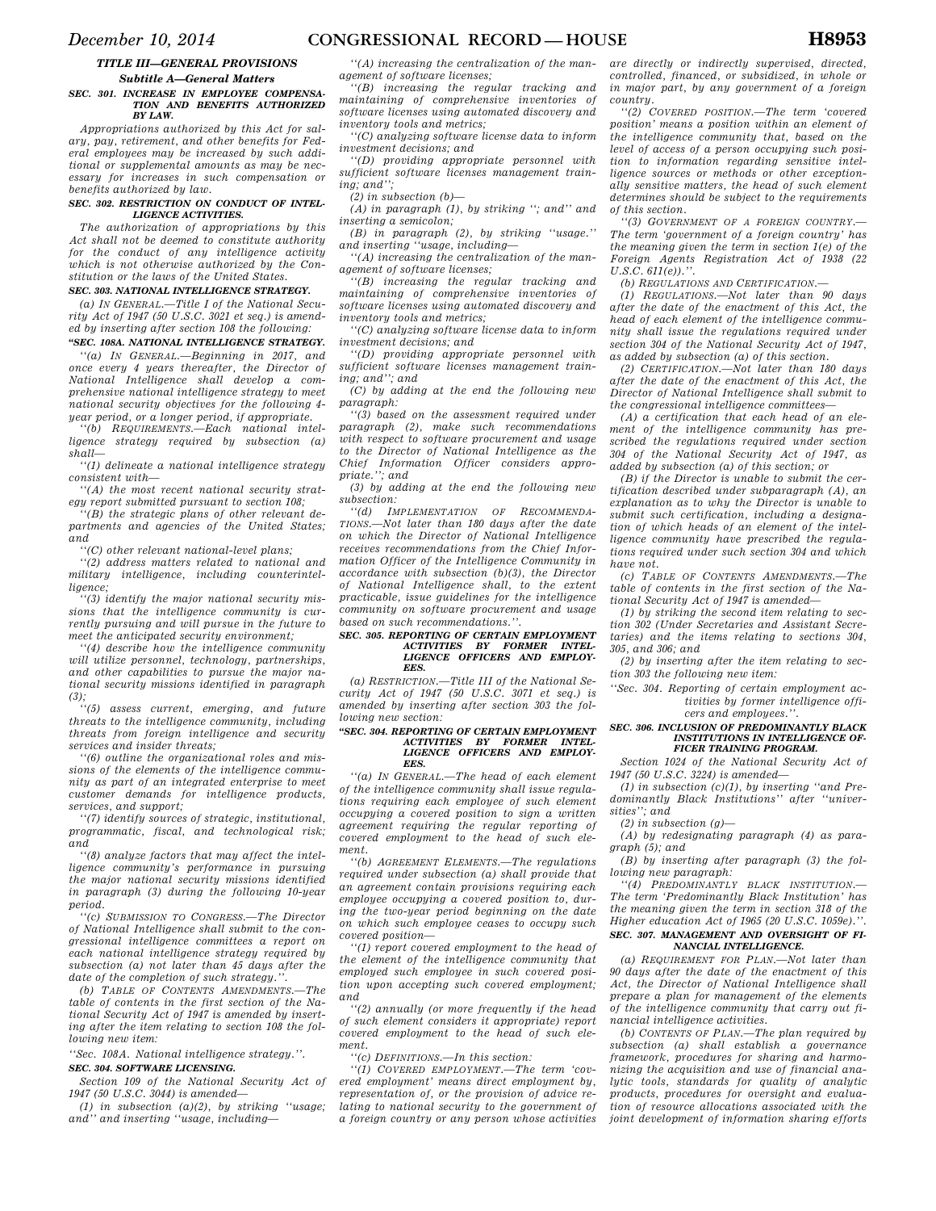## *TITLE III—GENERAL PROVISIONS Subtitle A—General Matters*

#### *SEC. 301. INCREASE IN EMPLOYEE COMPENSA-TION AND BENEFITS AUTHORIZED BY LAW.*

*Appropriations authorized by this Act for salary, pay, retirement, and other benefits for Federal employees may be increased by such additional or supplemental amounts as may be necessary for increases in such compensation or benefits authorized by law.* 

#### *SEC. 302. RESTRICTION ON CONDUCT OF INTEL-LIGENCE ACTIVITIES.*

*The authorization of appropriations by this Act shall not be deemed to constitute authority for the conduct of any intelligence activity which is not otherwise authorized by the Constitution or the laws of the United States.* 

#### *SEC. 303. NATIONAL INTELLIGENCE STRATEGY.*

*(a) IN GENERAL.—Title I of the National Security Act of 1947 (50 U.S.C. 3021 et seq.) is amended by inserting after section 108 the following:* 

*''SEC. 108A. NATIONAL INTELLIGENCE STRATEGY. ''(a) IN GENERAL.—Beginning in 2017, and once every 4 years thereafter, the Director of National Intelligence shall develop a comprehensive national intelligence strategy to meet national security objectives for the following 4 year period, or a longer period, if appropriate.* 

*''(b) REQUIREMENTS.—Each national intelligence strategy required by subsection (a) shall—* 

*''(1) delineate a national intelligence strategy consistent with—* 

*''(A) the most recent national security strategy report submitted pursuant to section 108;* 

*''(B) the strategic plans of other relevant departments and agencies of the United States; and* 

*''(C) other relevant national-level plans;* 

*''(2) address matters related to national and military intelligence, including counterintelligence;* 

*''(3) identify the major national security missions that the intelligence community is currently pursuing and will pursue in the future to meet the anticipated security environment;* 

*''(4) describe how the intelligence community will utilize personnel, technology, partnerships, and other capabilities to pursue the major national security missions identified in paragraph (3);* 

*''(5) assess current, emerging, and future threats to the intelligence community, including threats from foreign intelligence and security services and insider threats;* 

*''(6) outline the organizational roles and missions of the elements of the intelligence community as part of an integrated enterprise to meet customer demands for intelligence products, services, and support;* 

*''(7) identify sources of strategic, institutional, programmatic, fiscal, and technological risk; and* 

*''(8) analyze factors that may affect the intelligence community's performance in pursuing the major national security missions identified in paragraph (3) during the following 10-year period.* 

*''(c) SUBMISSION TO CONGRESS.—The Director of National Intelligence shall submit to the congressional intelligence committees a report on each national intelligence strategy required by subsection (a) not later than 45 days after the date of the completion of such strategy.''.* 

*(b) TABLE OF CONTENTS AMENDMENTS.—The table of contents in the first section of the National Security Act of 1947 is amended by inserting after the item relating to section 108 the following new item:* 

*''Sec. 108A. National intelligence strategy.''. SEC. 304. SOFTWARE LICENSING.* 

*Section 109 of the National Security Act of 1947 (50 U.S.C. 3044) is amended—* 

*(1) in subsection (a)(2), by striking ''usage; and'' and inserting ''usage, including—* 

*''(A) increasing the centralization of the management of software licenses;* 

*''(B) increasing the regular tracking and maintaining of comprehensive inventories of software licenses using automated discovery and inventory tools and metrics;* 

*''(C) analyzing software license data to inform investment decisions; and* 

*''(D) providing appropriate personnel with sufficient software licenses management training; and'';* 

*(2) in subsection (b)—* 

*(A) in paragraph (1), by striking ''; and'' and inserting a semicolon;* 

*(B) in paragraph (2), by striking ''usage.'' and inserting ''usage, including—* 

*''(A) increasing the centralization of the management of software licenses;* 

*''(B) increasing the regular tracking and maintaining of comprehensive inventories of software licenses using automated discovery and inventory tools and metrics;* 

*''(C) analyzing software license data to inform investment decisions; and* 

*''(D) providing appropriate personnel with sufficient software licenses management training; and''; and* 

*(C) by adding at the end the following new paragraph:* 

*''(3) based on the assessment required under paragraph (2), make such recommendations with respect to software procurement and usage to the Director of National Intelligence as the Chief Information Officer considers appropriate.''; and* 

*(3) by adding at the end the following new subsection:* 

*''(d) IMPLEMENTATION OF RECOMMENDA-TIONS.—Not later than 180 days after the date on which the Director of National Intelligence receives recommendations from the Chief Information Officer of the Intelligence Community in accordance with subsection (b)(3), the Director of National Intelligence shall, to the extent practicable, issue guidelines for the intelligence community on software procurement and usage based on such recommendations.''.* 

## *SEC. 305. REPORTING OF CERTAIN EMPLOYMENT ACTIVITIES BY FORMER INTEL-LIGENCE OFFICERS AND EMPLOY-EES.*

*(a) RESTRICTION.—Title III of the National Security Act of 1947 (50 U.S.C. 3071 et seq.) is amended by inserting after section 303 the following new section:* 

# *''SEC. 304. REPORTING OF CERTAIN EMPLOYMENT ACTIVITIES BY FORMER INTEL-LIGENCE OFFICERS AND EMPLOY-EES.*

*''(a) IN GENERAL.—The head of each element of the intelligence community shall issue regulations requiring each employee of such element occupying a covered position to sign a written agreement requiring the regular reporting of covered employment to the head of such element.* 

*''(b) AGREEMENT ELEMENTS.—The regulations required under subsection (a) shall provide that an agreement contain provisions requiring each employee occupying a covered position to, during the two-year period beginning on the date on which such employee ceases to occupy such covered position—* 

*''(1) report covered employment to the head of the element of the intelligence community that employed such employee in such covered position upon accepting such covered employment; and* 

*''(2) annually (or more frequently if the head of such element considers it appropriate) report covered employment to the head of such element.* 

*''(c) DEFINITIONS.—In this section:* 

*''(1) COVERED EMPLOYMENT.—The term 'covered employment' means direct employment by, representation of, or the provision of advice relating to national security to the government of a foreign country or any person whose activities* 

*are directly or indirectly supervised, directed, controlled, financed, or subsidized, in whole or in major part, by any government of a foreign country.* 

*''(2) COVERED POSITION.—The term 'covered position' means a position within an element of the intelligence community that, based on the level of access of a person occupying such position to information regarding sensitive intelligence sources or methods or other exceptionally sensitive matters, the head of such element determines should be subject to the requirements of this section.* 

*''(3) GOVERNMENT OF A FOREIGN COUNTRY.— The term 'government of a foreign country' has the meaning given the term in section 1(e) of the Foreign Agents Registration Act of 1938 (22*   $U.S.C. 611(e)$ .''

*(b) REGULATIONS AND CERTIFICATION.—* 

*(1) REGULATIONS.—Not later than 90 days after the date of the enactment of this Act, the head of each element of the intelligence community shall issue the regulations required under section 304 of the National Security Act of 1947, as added by subsection (a) of this section.* 

*(2) CERTIFICATION.—Not later than 180 days after the date of the enactment of this Act, the Director of National Intelligence shall submit to the congressional intelligence committees—* 

*(A) a certification that each head of an element of the intelligence community has prescribed the regulations required under section 304 of the National Security Act of 1947, as added by subsection (a) of this section; or* 

*(B) if the Director is unable to submit the certification described under subparagraph (A), an explanation as to why the Director is unable to submit such certification, including a designation of which heads of an element of the intelligence community have prescribed the regulations required under such section 304 and which have not.* 

*(c) TABLE OF CONTENTS AMENDMENTS.—The table of contents in the first section of the National Security Act of 1947 is amended—* 

*(1) by striking the second item relating to section 302 (Under Secretaries and Assistant Secretaries) and the items relating to sections 304, 305, and 306; and* 

*(2) by inserting after the item relating to section 303 the following new item:* 

*''Sec. 304. Reporting of certain employment activities by former intelligence officers and employees.''.* 

#### *SEC. 306. INCLUSION OF PREDOMINANTLY BLACK INSTITUTIONS IN INTELLIGENCE OF-FICER TRAINING PROGRAM.*

*Section 1024 of the National Security Act of 1947 (50 U.S.C. 3224) is amended—* 

*(1) in subsection (c)(1), by inserting ''and Predominantly Black Institutions'' after ''universities''; and* 

*(2) in subsection (g)—* 

*(A) by redesignating paragraph (4) as paragraph (5); and* 

*(B) by inserting after paragraph (3) the following new paragraph:* 

*''(4) PREDOMINANTLY BLACK INSTITUTION.— The term 'Predominantly Black Institution' has the meaning given the term in section 318 of the Higher education Act of 1965 (20 U.S.C. 1059e).''. SEC. 307. MANAGEMENT AND OVERSIGHT OF FI-NANCIAL INTELLIGENCE.* 

*(a) REQUIREMENT FOR PLAN.—Not later than 90 days after the date of the enactment of this Act, the Director of National Intelligence shall prepare a plan for management of the elements of the intelligence community that carry out financial intelligence activities.* 

*(b) CONTENTS OF PLAN.—The plan required by subsection (a) shall establish a governance framework, procedures for sharing and harmonizing the acquisition and use of financial analytic tools, standards for quality of analytic products, procedures for oversight and evaluation of resource allocations associated with the joint development of information sharing efforts*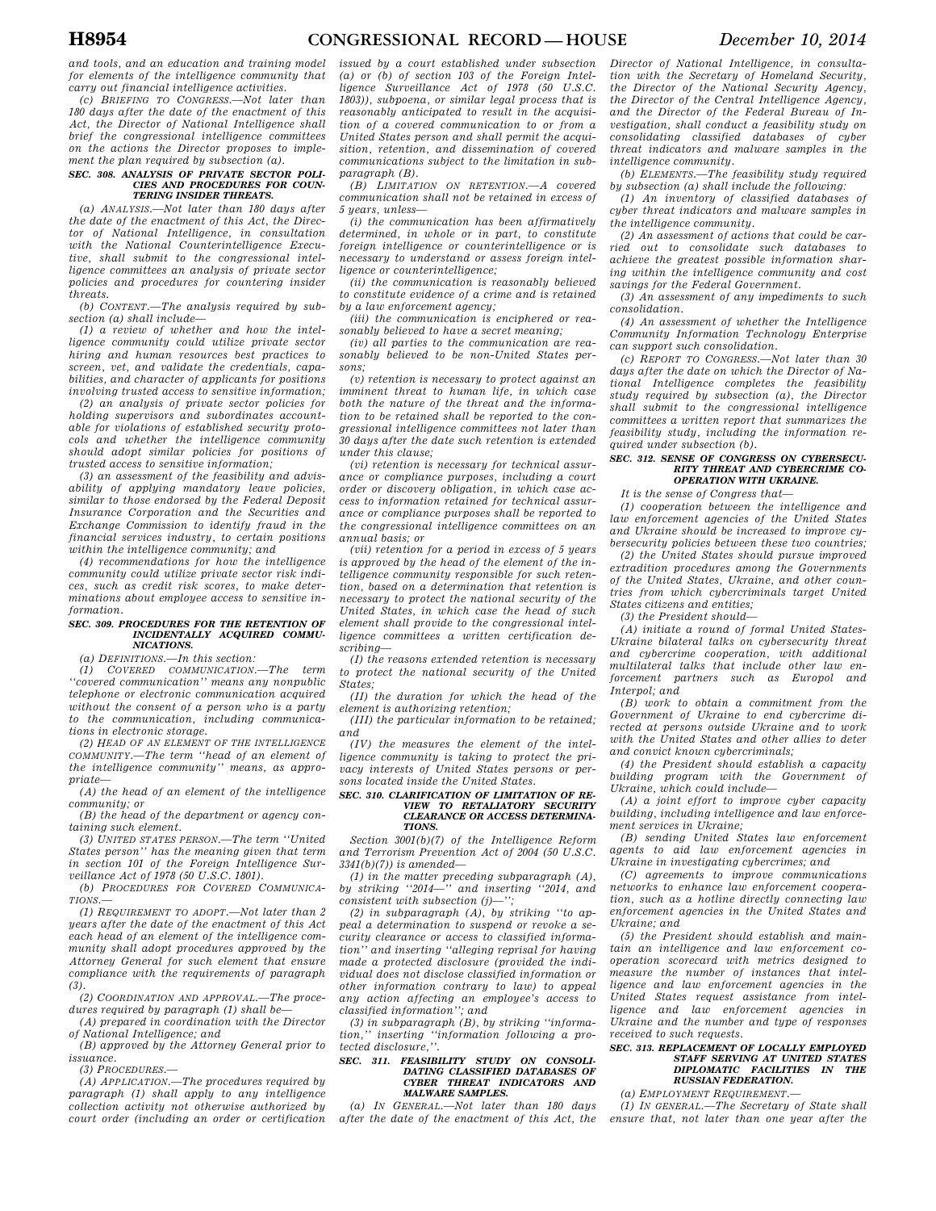*and tools, and an education and training model for elements of the intelligence community that carry out financial intelligence activities.* 

*(c) BRIEFING TO CONGRESS.—Not later than 180 days after the date of the enactment of this Act, the Director of National Intelligence shall brief the congressional intelligence committees on the actions the Director proposes to implement the plan required by subsection (a).* 

#### *SEC. 308. ANALYSIS OF PRIVATE SECTOR POLI-CIES AND PROCEDURES FOR COUN-TERING INSIDER THREATS.*

*(a) ANALYSIS.—Not later than 180 days after the date of the enactment of this Act, the Director of National Intelligence, in consultation with the National Counterintelligence Executive, shall submit to the congressional intelligence committees an analysis of private sector policies and procedures for countering insider threats.* 

*(b) CONTENT.—The analysis required by subsection (a) shall include—* 

*(1) a review of whether and how the intelligence community could utilize private sector hiring and human resources best practices to screen, vet, and validate the credentials, capabilities, and character of applicants for positions involving trusted access to sensitive information;* 

*(2) an analysis of private sector policies for holding supervisors and subordinates accountable for violations of established security protocols and whether the intelligence community should adopt similar policies for positions of trusted access to sensitive information;* 

*(3) an assessment of the feasibility and advisability of applying mandatory leave policies, similar to those endorsed by the Federal Deposit Insurance Corporation and the Securities and Exchange Commission to identify fraud in the financial services industry, to certain positions within the intelligence community; and* 

*(4) recommendations for how the intelligence community could utilize private sector risk indices, such as credit risk scores, to make determinations about employee access to sensitive information.* 

#### *SEC. 309. PROCEDURES FOR THE RETENTION OF INCIDENTALLY ACQUIRED COMMU-NICATIONS.*

*(a) DEFINITIONS.—In this section:* 

*(1) COVERED COMMUNICATION.—The term ''covered communication'' means any nonpublic telephone or electronic communication acquired without the consent of a person who is a party to the communication, including communications in electronic storage.* 

*(2) HEAD OF AN ELEMENT OF THE INTELLIGENCE COMMUNITY.—The term ''head of an element of the intelligence community'' means, as appropriate—* 

*(A) the head of an element of the intelligence community; or* 

*(B) the head of the department or agency containing such element.* 

*(3) UNITED STATES PERSON.—The term ''United States person'' has the meaning given that term in section 101 of the Foreign Intelligence Surveillance Act of 1978 (50 U.S.C. 1801).* 

*(b) PROCEDURES FOR COVERED COMMUNICA-TIONS.—* 

*(1) REQUIREMENT TO ADOPT.—Not later than 2 years after the date of the enactment of this Act each head of an element of the intelligence community shall adopt procedures approved by the Attorney General for such element that ensure compliance with the requirements of paragraph (3).* 

*(2) COORDINATION AND APPROVAL.—The procedures required by paragraph (1) shall be—* 

*(A) prepared in coordination with the Director of National Intelligence; and* 

*(B) approved by the Attorney General prior to issuance.* 

*(3) PROCEDURES.—* 

*(A) APPLICATION.—The procedures required by paragraph (1) shall apply to any intelligence collection activity not otherwise authorized by court order (including an order or certification* 

*issued by a court established under subsection (a) or (b) of section 103 of the Foreign Intelligence Surveillance Act of 1978 (50 U.S.C. 1803)), subpoena, or similar legal process that is reasonably anticipated to result in the acquisition of a covered communication to or from a United States person and shall permit the acquisition, retention, and dissemination of covered communications subject to the limitation in subparagraph (B).* 

*(B) LIMITATION ON RETENTION.—A covered communication shall not be retained in excess of 5 years, unless—* 

*(i) the communication has been affirmatively determined, in whole or in part, to constitute foreign intelligence or counterintelligence or is necessary to understand or assess foreign intelligence or counterintelligence;* 

*(ii) the communication is reasonably believed to constitute evidence of a crime and is retained by a law enforcement agency;* 

*(iii) the communication is enciphered or reasonably believed to have a secret meaning;* 

*(iv) all parties to the communication are reasonably believed to be non-United States persons;* 

*(v) retention is necessary to protect against an imminent threat to human life, in which case both the nature of the threat and the information to be retained shall be reported to the congressional intelligence committees not later than 30 days after the date such retention is extended under this clause;* 

*(vi) retention is necessary for technical assurance or compliance purposes, including a court order or discovery obligation, in which case access to information retained for technical assurance or compliance purposes shall be reported to the congressional intelligence committees on an annual basis; or* 

*(vii) retention for a period in excess of 5 years is approved by the head of the element of the intelligence community responsible for such retention, based on a determination that retention is necessary to protect the national security of the United States, in which case the head of such element shall provide to the congressional intelligence committees a written certification describing—* 

*(I) the reasons extended retention is necessary to protect the national security of the United States;* 

*(II) the duration for which the head of the element is authorizing retention;* 

*(III) the particular information to be retained; and* 

*(IV) the measures the element of the intelligence community is taking to protect the privacy interests of United States persons or persons located inside the United States.* 

#### *SEC. 310. CLARIFICATION OF LIMITATION OF RE-VIEW TO RETALIATORY SECURITY CLEARANCE OR ACCESS DETERMINA-TIONS.*

*Section 3001(b)(7) of the Intelligence Reform and Terrorism Prevention Act of 2004 (50 U.S.C. 3341(b)(7)) is amended—* 

*(1) in the matter preceding subparagraph (A), by striking ''2014—'' and inserting ''2014, and consistent with subsection (j)—'';* 

*(2) in subparagraph (A), by striking ''to appeal a determination to suspend or revoke a security clearance or access to classified information'' and inserting ''alleging reprisal for having made a protected disclosure (provided the individual does not disclose classified information or other information contrary to law) to appeal any action affecting an employee's access to* 

*classified information''; and (3) in subparagraph (B), by striking ''information,'' inserting ''information following a protected disclosure,''.* 

#### *SEC. 311. FEASIBILITY STUDY ON CONSOLI-DATING CLASSIFIED DATABASES OF CHREAT INDICATORS AND MALWARE SAMPLES.*

*(a) IN GENERAL.—Not later than 180 days after the date of the enactment of this Act, the* 

*Director of National Intelligence, in consultation with the Secretary of Homeland Security, the Director of the National Security Agency, the Director of the Central Intelligence Agency, and the Director of the Federal Bureau of Investigation, shall conduct a feasibility study on consolidating classified databases of cyber threat indicators and malware samples in the intelligence community.* 

*(b) ELEMENTS.—The feasibility study required by subsection (a) shall include the following:* 

*(1) An inventory of classified databases of cyber threat indicators and malware samples in the intelligence community.* 

*(2) An assessment of actions that could be carried out to consolidate such databases to achieve the greatest possible information sharing within the intelligence community and cost savings for the Federal Government.* 

*(3) An assessment of any impediments to such consolidation.* 

*(4) An assessment of whether the Intelligence Community Information Technology Enterprise can support such consolidation.* 

*(c) REPORT TO CONGRESS.—Not later than 30 days after the date on which the Director of National Intelligence completes the feasibility study required by subsection (a), the Director shall submit to the congressional intelligence committees a written report that summarizes the feasibility study, including the information required under subsection (b).* 

#### *SEC. 312. SENSE OF CONGRESS ON CYBERSECU-RITY THREAT AND CYBERCRIME CO-OPERATION WITH UKRAINE.*

*It is the sense of Congress that—* 

*(1) cooperation between the intelligence and law enforcement agencies of the United States and Ukraine should be increased to improve cybersecurity policies between these two countries;* 

*(2) the United States should pursue improved extradition procedures among the Governments of the United States, Ukraine, and other countries from which cybercriminals target United States citizens and entities;* 

*(3) the President should—* 

*(A) initiate a round of formal United States-Ukraine bilateral talks on cybersecurity threat and cybercrime cooperation, with additional multilateral talks that include other law enforcement partners such as Europol and Interpol; and* 

*(B) work to obtain a commitment from the Government of Ukraine to end cybercrime directed at persons outside Ukraine and to work with the United States and other allies to deter and convict known cybercriminals;* 

*(4) the President should establish a capacity building program with the Government of Ukraine, which could include—* 

*(A) a joint effort to improve cyber capacity building, including intelligence and law enforcement services in Ukraine;* 

*(B) sending United States law enforcement agents to aid law enforcement agencies in Ukraine in investigating cybercrimes; and* 

*(C) agreements to improve communications networks to enhance law enforcement cooperation, such as a hotline directly connecting law enforcement agencies in the United States and Ukraine; and* 

*(5) the President should establish and maintain an intelligence and law enforcement cooperation scorecard with metrics designed to measure the number of instances that intelligence and law enforcement agencies in the United States request assistance from intelligence and law enforcement agencies in Ukraine and the number and type of responses received to such requests.* 

#### *SEC. 313. REPLACEMENT OF LOCALLY EMPLOYED STAFF SERVING AT UNITED STATES DIPLOMATIC FACILITIES IN THE RUSSIAN FEDERATION.*

*(a) EMPLOYMENT REQUIREMENT.—* 

*(1) IN GENERAL.—The Secretary of State shall ensure that, not later than one year after the*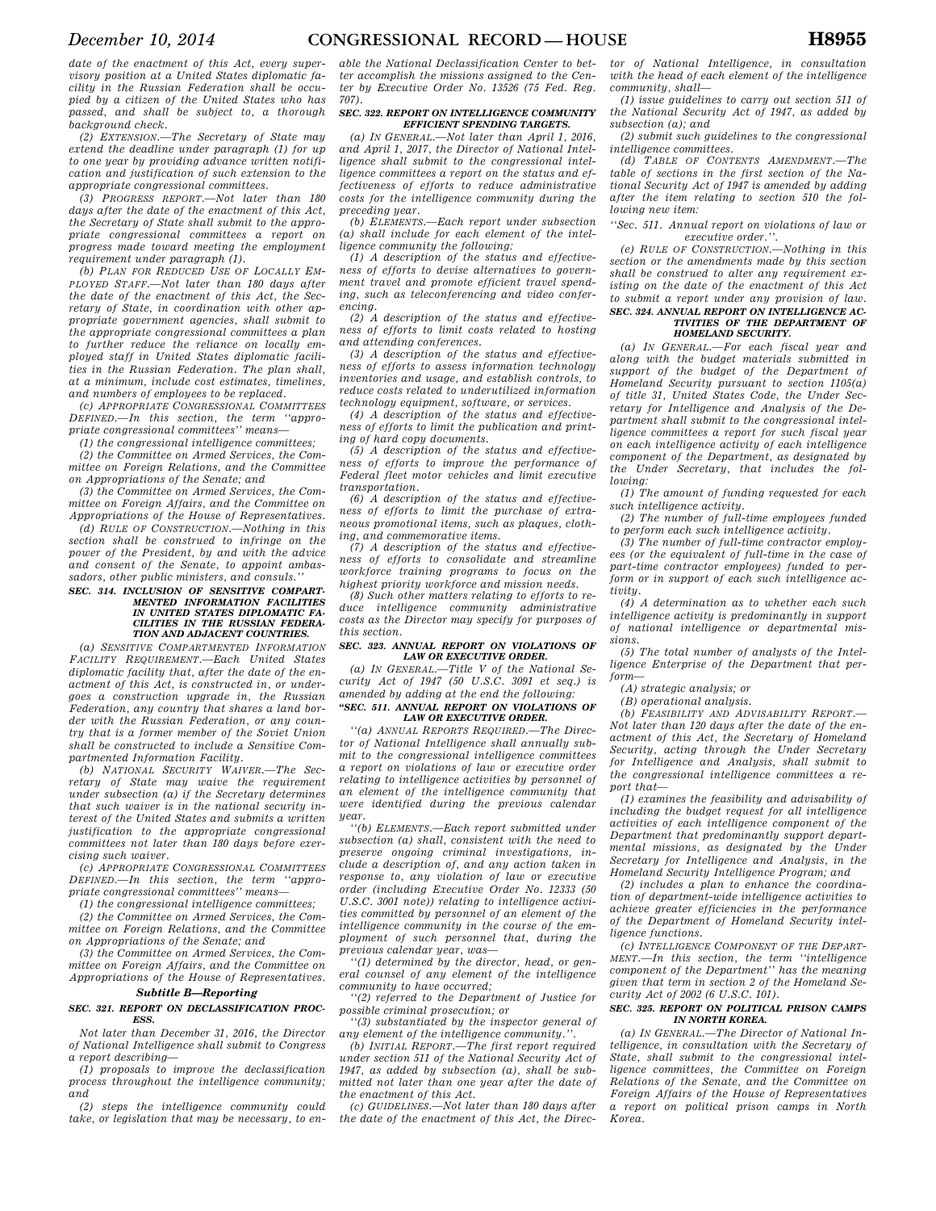*date of the enactment of this Act, every supervisory position at a United States diplomatic facility in the Russian Federation shall be occupied by a citizen of the United States who has passed, and shall be subject to, a thorough background check.* 

*(2) EXTENSION.—The Secretary of State may extend the deadline under paragraph (1) for up to one year by providing advance written notification and justification of such extension to the appropriate congressional committees.* 

*(3) PROGRESS REPORT.—Not later than 180 days after the date of the enactment of this Act, the Secretary of State shall submit to the appropriate congressional committees a report on progress made toward meeting the employment requirement under paragraph (1).* 

*(b) PLAN FOR REDUCED USE OF LOCALLY EM-PLOYED STAFF.—Not later than 180 days after the date of the enactment of this Act, the Secretary of State, in coordination with other appropriate government agencies, shall submit to the appropriate congressional committees a plan to further reduce the reliance on locally employed staff in United States diplomatic facilities in the Russian Federation. The plan shall, at a minimum, include cost estimates, timelines, and numbers of employees to be replaced.* 

*(c) APPROPRIATE CONGRESSIONAL COMMITTEES DEFINED.—In this section, the term ''appropriate congressional committees'' means—* 

*(1) the congressional intelligence committees;* 

*(2) the Committee on Armed Services, the Committee on Foreign Relations, and the Committee on Appropriations of the Senate; and* 

*(3) the Committee on Armed Services, the Committee on Foreign Affairs, and the Committee on Appropriations of the House of Representatives.* 

*(d) RULE OF CONSTRUCTION.—Nothing in this section shall be construed to infringe on the power of the President, by and with the advice and consent of the Senate, to appoint ambassadors, other public ministers, and consuls.''* 

#### *SEC. 314. INCLUSION OF SENSITIVE COMPART-MENTED INFORMATION FACILITIES IN UNITED STATES DIPLOMATIC FA-CILITIES IN THE RUSSIAN FEDERA-TION AND ADJACENT COUNTRIES.*

*(a) SENSITIVE COMPARTMENTED INFORMATION FACILITY REQUIREMENT.—Each United States diplomatic facility that, after the date of the enactment of this Act, is constructed in, or undergoes a construction upgrade in, the Russian Federation, any country that shares a land border with the Russian Federation, or any country that is a former member of the Soviet Union shall be constructed to include a Sensitive Compartmented Information Facility.* 

*(b) NATIONAL SECURITY WAIVER.—The Secretary of State may waive the requirement under subsection (a) if the Secretary determines that such waiver is in the national security interest of the United States and submits a written justification to the appropriate congressional committees not later than 180 days before exercising such waiver.* 

*(c) APPROPRIATE CONGRESSIONAL COMMITTEES DEFINED.—In this section, the term ''appropriate congressional committees'' means—* 

*(1) the congressional intelligence committees; (2) the Committee on Armed Services, the Committee on Foreign Relations, and the Committee on Appropriations of the Senate; and* 

*(3) the Committee on Armed Services, the Committee on Foreign Affairs, and the Committee on Appropriations of the House of Representatives.* 

# *Subtitle B—Reporting*

### *SEC. 321. REPORT ON DECLASSIFICATION PROC-ESS.*

*Not later than December 31, 2016, the Director of National Intelligence shall submit to Congress a report describing—* 

*(1) proposals to improve the declassification process throughout the intelligence community; and* 

*(2) steps the intelligence community could take, or legislation that may be necessary, to en-*

*able the National Declassification Center to better accomplish the missions assigned to the Center by Executive Order No. 13526 (75 Fed. Reg. 707).* 

#### *SEC. 322. REPORT ON INTELLIGENCE COMMUNITY EFFICIENT SPENDING TARGETS.*

*(a) IN GENERAL.—Not later than April 1, 2016, and April 1, 2017, the Director of National Intelligence shall submit to the congressional intelligence committees a report on the status and effectiveness of efforts to reduce administrative costs for the intelligence community during the preceding year.* 

 $-Each$  report under subsection *(a) shall include for each element of the intelligence community the following:* 

*(1) A description of the status and effectiveness of efforts to devise alternatives to government travel and promote efficient travel spending, such as teleconferencing and video conferencing.* 

*(2) A description of the status and effectiveness of efforts to limit costs related to hosting and attending conferences.* 

*(3) A description of the status and effectiveness of efforts to assess information technology inventories and usage, and establish controls, to reduce costs related to underutilized information technology equipment, software, or services.* 

*(4) A description of the status and effectiveness of efforts to limit the publication and printing of hard copy documents.* 

*(5) A description of the status and effectiveness of efforts to improve the performance of Federal fleet motor vehicles and limit executive transportation.* 

*(6) A description of the status and effectiveness of efforts to limit the purchase of extraneous promotional items, such as plaques, clothing, and commemorative items.* 

*(7) A description of the status and effectiveness of efforts to consolidate and streamline workforce training programs to focus on the highest priority workforce and mission needs.* 

*(8) Such other matters relating to efforts to reduce intelligence community administrative costs as the Director may specify for purposes of this section.* 

#### *SEC. 323. ANNUAL REPORT ON VIOLATIONS OF LAW OR EXECUTIVE ORDER.*

*(a) IN GENERAL.—Title V of the National Security Act of 1947 (50 U.S.C. 3091 et seq.) is amended by adding at the end the following: ''SEC. 511. ANNUAL REPORT ON VIOLATIONS OF* 

# *LAW OR EXECUTIVE ORDER.*

*''(a) ANNUAL REPORTS REQUIRED.—The Director of National Intelligence shall annually submit to the congressional intelligence committees a report on violations of law or executive order relating to intelligence activities by personnel of an element of the intelligence community that were identified during the previous calendar year.* 

*''(b) ELEMENTS.—Each report submitted under subsection (a) shall, consistent with the need to preserve ongoing criminal investigations, include a description of, and any action taken in response to, any violation of law or executive order (including Executive Order No. 12333 (50 U.S.C. 3001 note)) relating to intelligence activities committed by personnel of an element of the intelligence community in the course of the employment of such personnel that, during the previous calendar year, was—* 

*''(1) determined by the director, head, or general counsel of any element of the intelligence community to have occurred;* 

*''(2) referred to the Department of Justice for possible criminal prosecution; or* 

*''(3) substantiated by the inspector general of any element of the intelligence community.''.* 

*(b) INITIAL REPORT.—The first report required under section 511 of the National Security Act of 1947, as added by subsection (a), shall be submitted not later than one year after the date of the enactment of this Act.* 

*(c) GUIDELINES.—Not later than 180 days after the date of the enactment of this Act, the Direc-* *tor of National Intelligence, in consultation with the head of each element of the intelligence community, shall—* 

*(1) issue guidelines to carry out section 511 of the National Security Act of 1947, as added by subsection (a); and* 

*(2) submit such guidelines to the congressional intelligence committees.* 

*(d) TABLE OF CONTENTS AMENDMENT.—The table of sections in the first section of the National Security Act of 1947 is amended by adding after the item relating to section 510 the following new item:* 

*''Sec. 511. Annual report on violations of law or executive order.''.* 

*(e) RULE OF CONSTRUCTION.—Nothing in this section or the amendments made by this section shall be construed to alter any requirement existing on the date of the enactment of this Act to submit a report under any provision of law.* 

#### *SEC. 324. ANNUAL REPORT ON INTELLIGENCE AC-TIVITIES OF THE DEPARTMENT OF HOMELAND SECURITY.*

*(a) IN GENERAL.—For each fiscal year and along with the budget materials submitted in support of the budget of the Department of Homeland Security pursuant to section 1105(a) of title 31, United States Code, the Under Secretary for Intelligence and Analysis of the Department shall submit to the congressional intelligence committees a report for such fiscal year on each intelligence activity of each intelligence component of the Department, as designated by the Under Secretary, that includes the following:* 

*(1) The amount of funding requested for each such intelligence activity.* 

*(2) The number of full-time employees funded to perform each such intelligence activity.* 

*(3) The number of full-time contractor employees (or the equivalent of full-time in the case of part-time contractor employees) funded to perform or in support of each such intelligence activity.* 

*(4) A determination as to whether each such intelligence activity is predominantly in support of national intelligence or departmental missions.* 

*(5) The total number of analysts of the Intelligence Enterprise of the Department that perform—* 

*(A) strategic analysis; or* 

*(B) operational analysis.* 

*(b) FEASIBILITY AND ADVISABILITY REPORT.— Not later than 120 days after the date of the enactment of this Act, the Secretary of Homeland Security, acting through the Under Secretary for Intelligence and Analysis, shall submit to the congressional intelligence committees a report that—* 

*(1) examines the feasibility and advisability of including the budget request for all intelligence activities of each intelligence component of the Department that predominantly support departmental missions, as designated by the Under Secretary for Intelligence and Analysis, in the Homeland Security Intelligence Program; and* 

*(2) includes a plan to enhance the coordination of department-wide intelligence activities to achieve greater efficiencies in the performance of the Department of Homeland Security intelligence functions.* 

*(c) INTELLIGENCE COMPONENT OF THE DEPART-MENT.—In this section, the term ''intelligence component of the Department'' has the meaning given that term in section 2 of the Homeland Security Act of 2002 (6 U.S.C. 101).* 

#### *SEC. 325. REPORT ON POLITICAL PRISON CAMPS IN NORTH KOREA.*

*(a) IN GENERAL.—The Director of National Intelligence, in consultation with the Secretary of State, shall submit to the congressional intelligence committees, the Committee on Foreign Relations of the Senate, and the Committee on Foreign Affairs of the House of Representatives a report on political prison camps in North Korea.*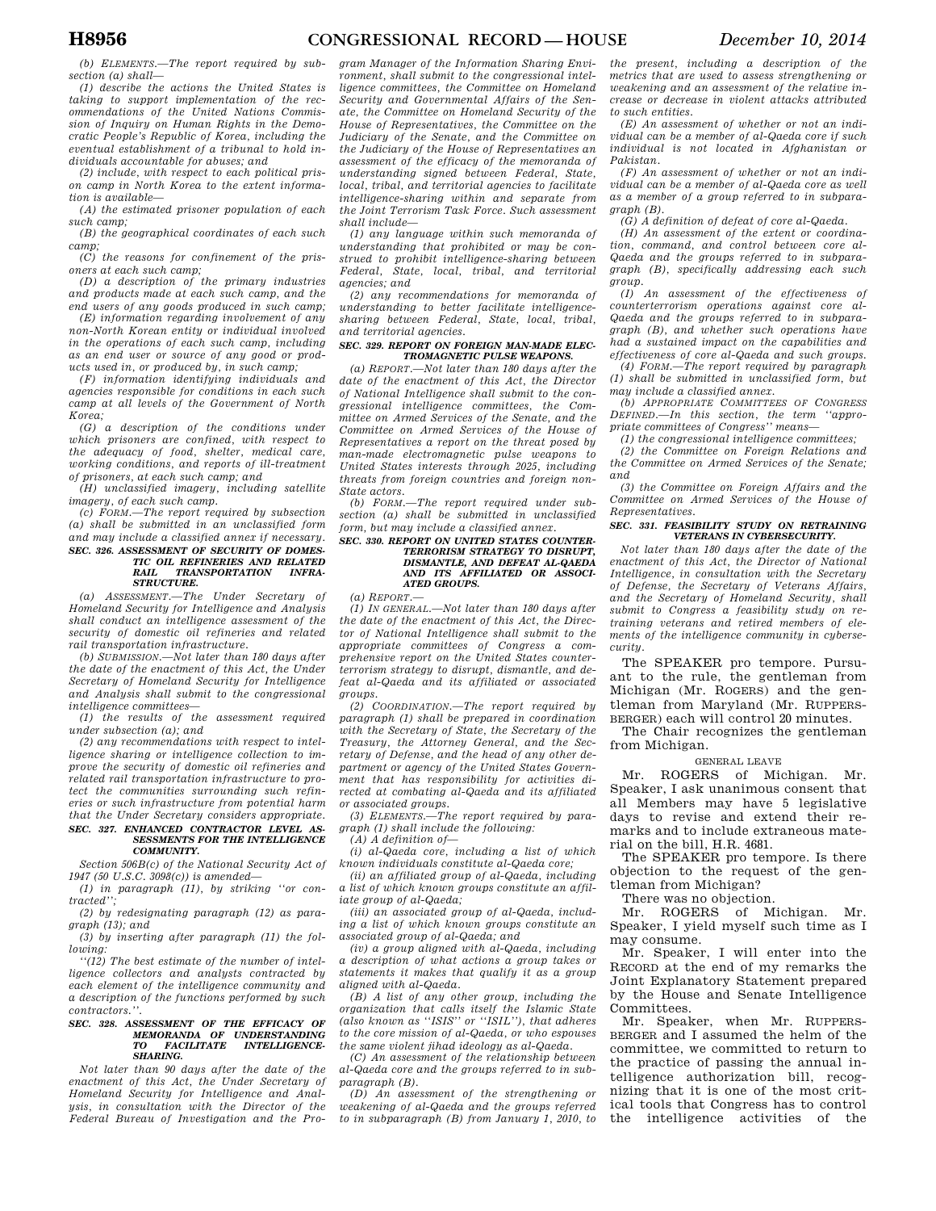*(b) ELEMENTS.—The report required by subsection (a) shall—* 

*(1) describe the actions the United States is taking to support implementation of the recommendations of the United Nations Commission of Inquiry on Human Rights in the Democratic People's Republic of Korea, including the eventual establishment of a tribunal to hold individuals accountable for abuses; and* 

*(2) include, with respect to each political prison camp in North Korea to the extent information is available—* 

*(A) the estimated prisoner population of each such camp;* 

*(B) the geographical coordinates of each such camp;* 

*(C) the reasons for confinement of the prisoners at each such camp;* 

*(D) a description of the primary industries and products made at each such camp, and the end users of any goods produced in such camp;* 

*(E) information regarding involvement of any non-North Korean entity or individual involved in the operations of each such camp, including as an end user or source of any good or products used in, or produced by, in such camp;* 

*(F) information identifying individuals and agencies responsible for conditions in each such camp at all levels of the Government of North Korea;* 

*(G) a description of the conditions under which prisoners are confined, with respect to the adequacy of food, shelter, medical care, working conditions, and reports of ill-treatment of prisoners, at each such camp; and* 

*(H) unclassified imagery, including satellite imagery, of each such camp.* 

*(c) FORM.—The report required by subsection (a) shall be submitted in an unclassified form and may include a classified annex if necessary. SEC. 326. ASSESSMENT OF SECURITY OF DOMES-TIC OIL REFINERIES AND RELATED*   ${\it TRANSPORTATION}$ *STRUCTURE.* 

*(a) ASSESSMENT.—The Under Secretary of Homeland Security for Intelligence and Analysis shall conduct an intelligence assessment of the security of domestic oil refineries and related rail transportation infrastructure.* 

*(b) SUBMISSION.—Not later than 180 days after the date of the enactment of this Act, the Under Secretary of Homeland Security for Intelligence and Analysis shall submit to the congressional intelligence committees—* 

*(1) the results of the assessment required under subsection (a); and* 

*(2) any recommendations with respect to intelligence sharing or intelligence collection to improve the security of domestic oil refineries and related rail transportation infrastructure to protect the communities surrounding such refineries or such infrastructure from potential harm that the Under Secretary considers appropriate. SEC. 327. ENHANCED CONTRACTOR LEVEL AS-*

# *SESSMENTS FOR THE INTELLIGENCE COMMUNITY.*

*Section 506B(c) of the National Security Act of 1947 (50 U.S.C. 3098(c)) is amended—* 

*(1) in paragraph (11), by striking ''or contracted''; (2) by redesignating paragraph (12) as para-*

*graph (13); and* 

*(3) by inserting after paragraph (11) the following:* 

*''(12) The best estimate of the number of intelligence collectors and analysts contracted by each element of the intelligence community and a description of the functions performed by such contractors.''.* 

# *SEC. 328. ASSESSMENT OF THE EFFICACY OF MEMORANDA OF UNDERSTANDING TO FACILITATE INTELLIGENCE-SHARING.*

*Not later than 90 days after the date of the enactment of this Act, the Under Secretary of Homeland Security for Intelligence and Analysis, in consultation with the Director of the Federal Bureau of Investigation and the Pro-*

*gram Manager of the Information Sharing Environment, shall submit to the congressional intelligence committees, the Committee on Homeland Security and Governmental Affairs of the Senate, the Committee on Homeland Security of the House of Representatives, the Committee on the Judiciary of the Senate, and the Committee on the Judiciary of the House of Representatives an assessment of the efficacy of the memoranda of understanding signed between Federal, State, local, tribal, and territorial agencies to facilitate intelligence-sharing within and separate from the Joint Terrorism Task Force. Such assessment shall include—* 

*(1) any language within such memoranda of understanding that prohibited or may be construed to prohibit intelligence-sharing between Federal, State, local, tribal, and territorial agencies; and* 

*(2) any recommendations for memoranda of understanding to better facilitate intelligencesharing between Federal, State, local, tribal, and territorial agencies.* 

#### *SEC. 329. REPORT ON FOREIGN MAN-MADE ELEC-TROMAGNETIC PULSE WEAPONS.*

*(a) REPORT.—Not later than 180 days after the date of the enactment of this Act, the Director of National Intelligence shall submit to the congressional intelligence committees, the Committee on Armed Services of the Senate, and the Committee on Armed Services of the House of Representatives a report on the threat posed by man-made electromagnetic pulse weapons to United States interests through 2025, including threats from foreign countries and foreign non-State actors.* 

*(b) FORM.—The report required under subsection (a) shall be submitted in unclassified form, but may include a classified annex.* 

#### *SEC. 330. REPORT ON UNITED STATES COUNTER-TERRORISM STRATEGY TO DISRUPT, DISMANTLE, AND DEFEAT AL-QAEDA AND ITS AFFILIATED OR ASSOCI-ATED GROUPS.*

*(a) REPORT.—* 

*(1) IN GENERAL.—Not later than 180 days after the date of the enactment of this Act, the Director of National Intelligence shall submit to the appropriate committees of Congress a comprehensive report on the United States counterterrorism strategy to disrupt, dismantle, and defeat al-Qaeda and its affiliated or associated groups.* 

*(2) COORDINATION.—The report required by paragraph (1) shall be prepared in coordination with the Secretary of State, the Secretary of the Treasury, the Attorney General, and the Secretary of Defense, and the head of any other department or agency of the United States Government that has responsibility for activities directed at combating al-Qaeda and its affiliated or associated groups.* 

*(3) ELEMENTS.—The report required by paragraph (1) shall include the following:* 

*(A) A definition of—* 

*(i) al-Qaeda core, including a list of which known individuals constitute al-Qaeda core;* 

*(ii) an affiliated group of al-Qaeda, including a list of which known groups constitute an affiliate group of al-Qaeda;* 

*(iii) an associated group of al-Qaeda, including a list of which known groups constitute an associated group of al-Qaeda; and* 

*(iv) a group aligned with al-Qaeda, including a description of what actions a group takes or statements it makes that qualify it as a group aligned with al-Qaeda.* 

*(B) A list of any other group, including the organization that calls itself the Islamic State (also known as ''ISIS'' or ''ISIL''), that adheres to the core mission of al-Qaeda, or who espouses the same violent jihad ideology as al-Qaeda.* 

*(C) An assessment of the relationship between al-Qaeda core and the groups referred to in subparagraph (B).* 

*(D) An assessment of the strengthening or weakening of al-Qaeda and the groups referred to in subparagraph (B) from January 1, 2010, to* 

*the present, including a description of the metrics that are used to assess strengthening or weakening and an assessment of the relative increase or decrease in violent attacks attributed to such entities.* 

*(E) An assessment of whether or not an individual can be a member of al-Qaeda core if such individual is not located in Afghanistan or Pakistan.* 

*(F) An assessment of whether or not an individual can be a member of al-Qaeda core as well as a member of a group referred to in subparagraph (B).* 

*(G) A definition of defeat of core al-Qaeda.* 

*(H) An assessment of the extent or coordination, command, and control between core al-Qaeda and the groups referred to in subparagraph (B), specifically addressing each such group.* 

*(I) An assessment of the effectiveness of counterterrorism operations against core al-Qaeda and the groups referred to in subparagraph (B), and whether such operations have had a sustained impact on the capabilities and effectiveness of core al-Qaeda and such groups.* 

*(4) FORM.—The report required by paragraph (1) shall be submitted in unclassified form, but may include a classified annex.* 

*(b) APPROPRIATE COMMITTEES OF CONGRESS DEFINED.—In this section, the term ''appropriate committees of Congress'' means—* 

*(1) the congressional intelligence committees;* 

*(2) the Committee on Foreign Relations and the Committee on Armed Services of the Senate; and* 

*(3) the Committee on Foreign Affairs and the Committee on Armed Services of the House of Representatives.* 

#### *SEC. 331. FEASIBILITY STUDY ON RETRAINING VETERANS IN CYBERSECURITY.*

*Not later than 180 days after the date of the enactment of this Act, the Director of National Intelligence, in consultation with the Secretary of Defense, the Secretary of Veterans Affairs, and the Secretary of Homeland Security, shall submit to Congress a feasibility study on retraining veterans and retired members of elements of the intelligence community in cybersecurity.* 

The SPEAKER pro tempore. Pursuant to the rule, the gentleman from Michigan (Mr. ROGERS) and the gentleman from Maryland (Mr. RUPPERS-BERGER) each will control 20 minutes.

The Chair recognizes the gentleman from Michigan.

#### GENERAL LEAVE

Mr. ROGERS of Michigan. Mr. Speaker, I ask unanimous consent that all Members may have 5 legislative days to revise and extend their remarks and to include extraneous material on the bill, H.R. 4681.

The SPEAKER pro tempore. Is there objection to the request of the gentleman from Michigan?

There was no objection.

Mr. ROGERS of Michigan. Mr. Speaker, I yield myself such time as I may consume.

Mr. Speaker, I will enter into the RECORD at the end of my remarks the Joint Explanatory Statement prepared by the House and Senate Intelligence Committees.

Mr. Speaker, when Mr. RUPPERS-BERGER and I assumed the helm of the committee, we committed to return to the practice of passing the annual intelligence authorization bill, recognizing that it is one of the most critical tools that Congress has to control the intelligence activities of the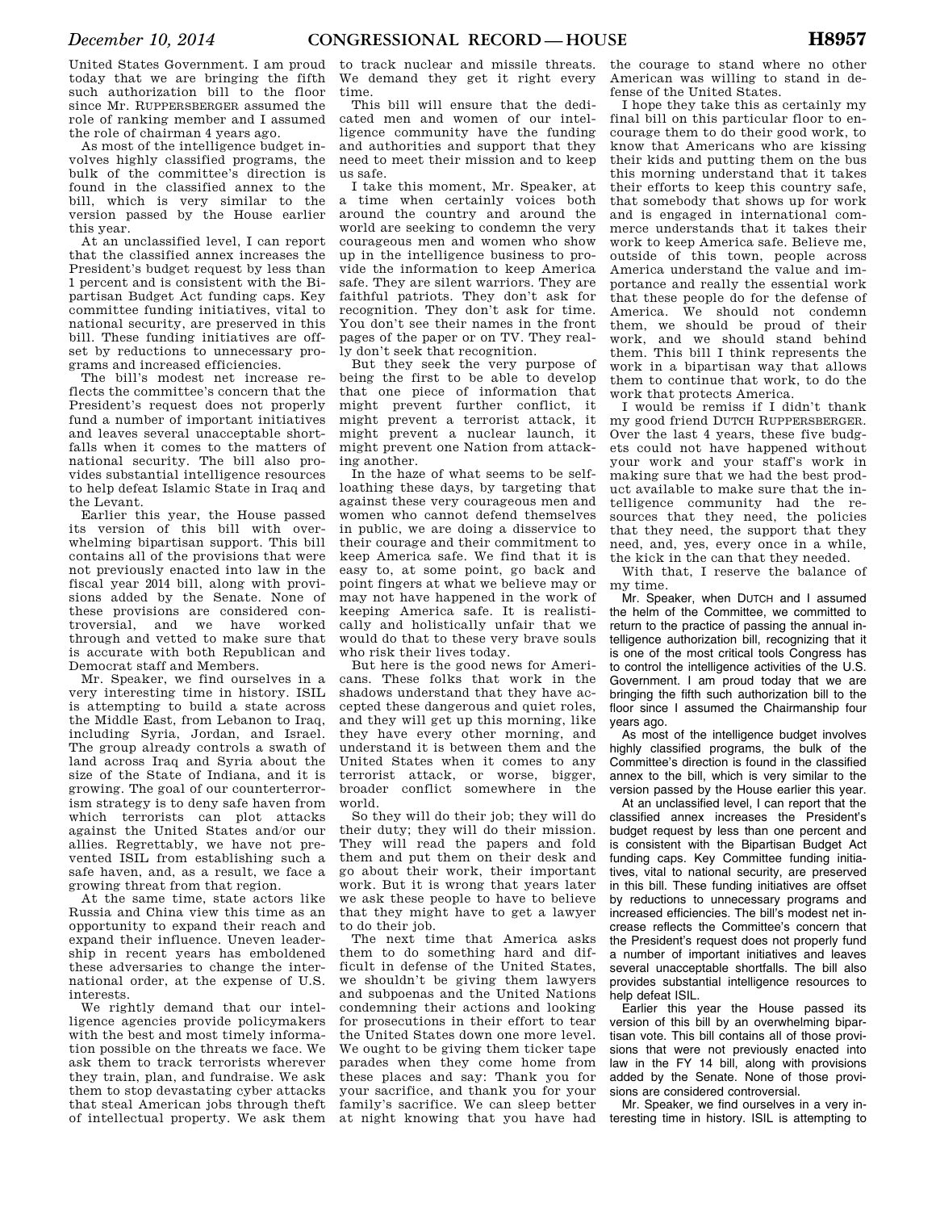United States Government. I am proud today that we are bringing the fifth such authorization bill to the floor since Mr. RUPPERSBERGER assumed the role of ranking member and I assumed the role of chairman 4 years ago.

As most of the intelligence budget involves highly classified programs, the bulk of the committee's direction is found in the classified annex to the bill, which is very similar to the version passed by the House earlier this year.

At an unclassified level, I can report that the classified annex increases the President's budget request by less than 1 percent and is consistent with the Bipartisan Budget Act funding caps. Key committee funding initiatives, vital to national security, are preserved in this bill. These funding initiatives are offset by reductions to unnecessary programs and increased efficiencies.

The bill's modest net increase reflects the committee's concern that the President's request does not properly fund a number of important initiatives and leaves several unacceptable shortfalls when it comes to the matters of national security. The bill also provides substantial intelligence resources to help defeat Islamic State in Iraq and the Levant.

Earlier this year, the House passed its version of this bill with overwhelming bipartisan support. This bill contains all of the provisions that were not previously enacted into law in the fiscal year 2014 bill, along with provisions added by the Senate. None of these provisions are considered controversial, and we have worked through and vetted to make sure that is accurate with both Republican and Democrat staff and Members.

Mr. Speaker, we find ourselves in a very interesting time in history. ISIL is attempting to build a state across the Middle East, from Lebanon to Iraq, including Syria, Jordan, and Israel. The group already controls a swath of land across Iraq and Syria about the size of the State of Indiana, and it is growing. The goal of our counterterrorism strategy is to deny safe haven from which terrorists can plot attacks against the United States and/or our allies. Regrettably, we have not prevented ISIL from establishing such a safe haven, and, as a result, we face a growing threat from that region.

At the same time, state actors like Russia and China view this time as an opportunity to expand their reach and expand their influence. Uneven leadership in recent years has emboldened these adversaries to change the international order, at the expense of U.S. interests.

We rightly demand that our intelligence agencies provide policymakers with the best and most timely information possible on the threats we face. We ask them to track terrorists wherever they train, plan, and fundraise. We ask them to stop devastating cyber attacks that steal American jobs through theft of intellectual property. We ask them

to track nuclear and missile threats. We demand they get it right every time.

This bill will ensure that the dedicated men and women of our intelligence community have the funding and authorities and support that they need to meet their mission and to keep us safe.

I take this moment, Mr. Speaker, at a time when certainly voices both around the country and around the world are seeking to condemn the very courageous men and women who show up in the intelligence business to provide the information to keep America safe. They are silent warriors. They are faithful patriots. They don't ask for recognition. They don't ask for time. You don't see their names in the front pages of the paper or on TV. They really don't seek that recognition.

But they seek the very purpose of being the first to be able to develop that one piece of information that might prevent further conflict, it might prevent a terrorist attack, it might prevent a nuclear launch, it might prevent one Nation from attacking another.

In the haze of what seems to be selfloathing these days, by targeting that against these very courageous men and women who cannot defend themselves in public, we are doing a disservice to their courage and their commitment to keep America safe. We find that it is easy to, at some point, go back and point fingers at what we believe may or may not have happened in the work of keeping America safe. It is realistically and holistically unfair that we would do that to these very brave souls who risk their lives today.

But here is the good news for Americans. These folks that work in the shadows understand that they have accepted these dangerous and quiet roles, and they will get up this morning, like they have every other morning, and understand it is between them and the United States when it comes to any terrorist attack, or worse, bigger, broader conflict somewhere in the world.

So they will do their job; they will do their duty; they will do their mission. They will read the papers and fold them and put them on their desk and go about their work, their important work. But it is wrong that years later we ask these people to have to believe that they might have to get a lawyer to do their job.

The next time that America asks them to do something hard and difficult in defense of the United States, we shouldn't be giving them lawyers and subpoenas and the United Nations condemning their actions and looking for prosecutions in their effort to tear the United States down one more level. We ought to be giving them ticker tape parades when they come home from these places and say: Thank you for your sacrifice, and thank you for your family's sacrifice. We can sleep better at night knowing that you have had

the courage to stand where no other American was willing to stand in defense of the United States.

I hope they take this as certainly my final bill on this particular floor to encourage them to do their good work, to know that Americans who are kissing their kids and putting them on the bus this morning understand that it takes their efforts to keep this country safe, that somebody that shows up for work and is engaged in international commerce understands that it takes their work to keep America safe. Believe me, outside of this town, people across America understand the value and importance and really the essential work that these people do for the defense of America. We should not condemn them, we should be proud of their work, and we should stand behind them. This bill I think represents the work in a bipartisan way that allows them to continue that work, to do the work that protects America.

I would be remiss if I didn't thank my good friend DUTCH RUPPERSBERGER. Over the last 4 years, these five budgets could not have happened without your work and your staff's work in making sure that we had the best product available to make sure that the intelligence community had the resources that they need, the policies that they need, the support that they need, and, yes, every once in a while, the kick in the can that they needed.

With that, I reserve the balance of my time.

Mr. Speaker, when DUTCH and I assumed the helm of the Committee, we committed to return to the practice of passing the annual intelligence authorization bill, recognizing that it is one of the most critical tools Congress has to control the intelligence activities of the U.S. Government. I am proud today that we are bringing the fifth such authorization bill to the floor since I assumed the Chairmanship four years ago.

As most of the intelligence budget involves highly classified programs, the bulk of the Committee's direction is found in the classified annex to the bill, which is very similar to the version passed by the House earlier this year.

At an unclassified level, I can report that the classified annex increases the President's budget request by less than one percent and is consistent with the Bipartisan Budget Act funding caps. Key Committee funding initiatives, vital to national security, are preserved in this bill. These funding initiatives are offset by reductions to unnecessary programs and increased efficiencies. The bill's modest net increase reflects the Committee's concern that the President's request does not properly fund a number of important initiatives and leaves several unacceptable shortfalls. The bill also provides substantial intelligence resources to help defeat ISIL.

Earlier this year the House passed its version of this bill by an overwhelming bipartisan vote. This bill contains all of those provisions that were not previously enacted into law in the FY 14 bill, along with provisions added by the Senate. None of those provisions are considered controversial.

Mr. Speaker, we find ourselves in a very interesting time in history. ISIL is attempting to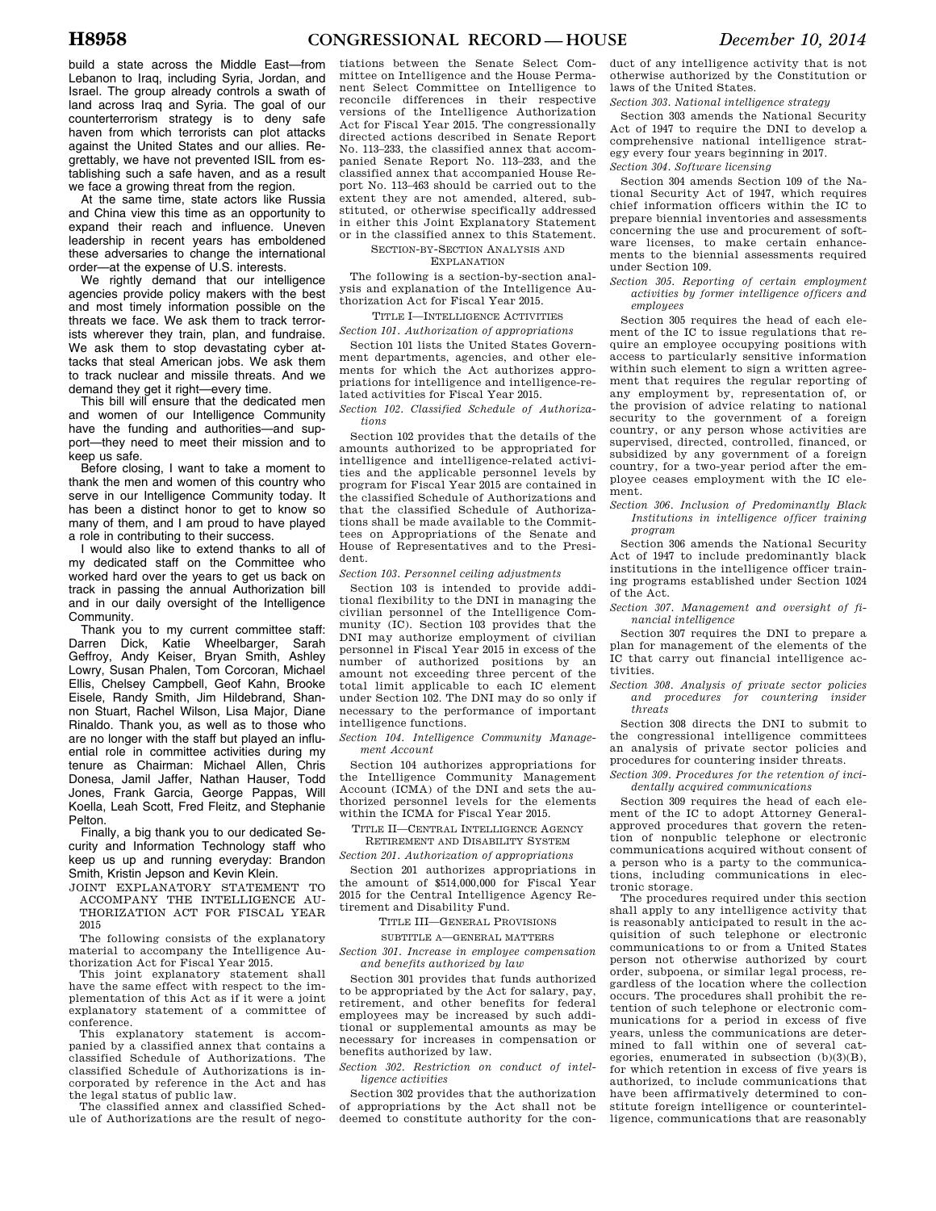build a state across the Middle East—from Lebanon to Iraq, including Syria, Jordan, and Israel. The group already controls a swath of land across Iraq and Syria. The goal of our counterterrorism strategy is to deny safe haven from which terrorists can plot attacks against the United States and our allies. Regrettably, we have not prevented ISIL from establishing such a safe haven, and as a result we face a growing threat from the region.

At the same time, state actors like Russia and China view this time as an opportunity to expand their reach and influence. Uneven leadership in recent years has emboldened these adversaries to change the international order—at the expense of U.S. interests.

We rightly demand that our intelligence agencies provide policy makers with the best and most timely information possible on the threats we face. We ask them to track terrorists wherever they train, plan, and fundraise. We ask them to stop devastating cyber attacks that steal American jobs. We ask them to track nuclear and missile threats. And we demand they get it right—every time.

This bill will ensure that the dedicated men and women of our Intelligence Community have the funding and authorities—and support—they need to meet their mission and to keep us safe.

Before closing, I want to take a moment to thank the men and women of this country who serve in our Intelligence Community today. It has been a distinct honor to get to know so many of them, and I am proud to have played a role in contributing to their success.

I would also like to extend thanks to all of my dedicated staff on the Committee who worked hard over the years to get us back on track in passing the annual Authorization bill and in our daily oversight of the Intelligence Community.

Thank you to my current committee staff: Darren Dick, Katie Wheelbarger, Sarah Geffroy, Andy Keiser, Bryan Smith, Ashley Lowry, Susan Phalen, Tom Corcoran, Michael Ellis, Chelsey Campbell, Geof Kahn, Brooke Eisele, Randy Smith, Jim Hildebrand, Shannon Stuart, Rachel Wilson, Lisa Major, Diane Rinaldo. Thank you, as well as to those who are no longer with the staff but played an influential role in committee activities during my tenure as Chairman: Michael Allen, Chris Donesa, Jamil Jaffer, Nathan Hauser, Todd Jones, Frank Garcia, George Pappas, Will Koella, Leah Scott, Fred Fleitz, and Stephanie Pelton.

Finally, a big thank you to our dedicated Security and Information Technology staff who keep us up and running everyday: Brandon Smith, Kristin Jepson and Kevin Klein.

JOINT EXPLANATORY STATEMENT TO ACCOMPANY THE INTELLIGENCE AU-THORIZATION ACT FOR FISCAL YEAR 2015

The following consists of the explanatory material to accompany the Intelligence Authorization Act for Fiscal Year 2015.

This joint explanatory statement shall have the same effect with respect to the implementation of this Act as if it were a joint explanatory statement of a committee of conference.

This explanatory statement is accompanied by a classified annex that contains a classified Schedule of Authorizations. The classified Schedule of Authorizations is incorporated by reference in the Act and has the legal status of public law.

The classified annex and classified Schedule of Authorizations are the result of nego-

tiations between the Senate Select Committee on Intelligence and the House Permanent Select Committee on Intelligence to reconcile differences in their respective versions of the Intelligence Authorization Act for Fiscal Year 2015. The congressionally directed actions described in Senate Report No. 113–233, the classified annex that accompanied Senate Report No. 113–233, and the classified annex that accompanied House Report No. 113–463 should be carried out to the extent they are not amended, altered, substituted, or otherwise specifically addressed in either this Joint Explanatory Statement or in the classified annex to this Statement.

SECTION-BY-SECTION ANALYSIS AND

EXPLANATION

The following is a section-by-section analysis and explanation of the Intelligence Authorization Act for Fiscal Year 2015.

## TITLE I—INTELLIGENCE ACTIVITIES

*Section 101. Authorization of appropriations* 

Section 101 lists the United States Government departments, agencies, and other elements for which the Act authorizes appropriations for intelligence and intelligence-related activities for Fiscal Year 2015.

*Section 102. Classified Schedule of Authorizations* 

Section 102 provides that the details of the amounts authorized to be appropriated for intelligence and intelligence-related activities and the applicable personnel levels by program for Fiscal Year 2015 are contained in the classified Schedule of Authorizations and that the classified Schedule of Authorizations shall be made available to the Committees on Appropriations of the Senate and House of Representatives and to the President.

*Section 103. Personnel ceiling adjustments* 

Section 103 is intended to provide additional flexibility to the DNI in managing the civilian personnel of the Intelligence Community (IC). Section 103 provides that the DNI may authorize employment of civilian personnel in Fiscal Year 2015 in excess of the number of authorized positions by amount not exceeding three percent of the total limit applicable to each IC element under Section 102. The DNI may do so only if necessary to the performance of important intelligence functions.

*Section 104. Intelligence Community Management Account* 

Section 104 authorizes appropriations for the Intelligence Community Management Account (ICMA) of the DNI and sets the authorized personnel levels for the elements within the ICMA for Fiscal Year 2015.

# TITLE II—CENTRAL INTELLIGENCE AGENCY

RETIREMENT AND DISABILITY SYSTEM *Section 201. Authorization of appropriations* 

Section 201 authorizes appropriations in the amount of \$514,000,000 for Fiscal Year 2015 for the Central Intelligence Agency Retirement and Disability Fund.

TITLE III—GENERAL PROVISIONS

SUBTITLE A—GENERAL MATTERS *Section 301. Increase in employee compensation and benefits authorized by law* 

Section 301 provides that funds authorized to be appropriated by the Act for salary, pay, retirement, and other benefits for federal employees may be increased by such additional or supplemental amounts as may be necessary for increases in compensation or benefits authorized by law.

*Section 302. Restriction on conduct of intelligence activities* 

Section 302 provides that the authorization of appropriations by the Act shall not be deemed to constitute authority for the con-

duct of any intelligence activity that is not otherwise authorized by the Constitution or laws of the United States.

*Section 303. National intelligence strategy* 

Section 303 amends the National Security Act of 1947 to require the DNI to develop a comprehensive national intelligence strategy every four years beginning in 2017. *Section 304. Software licensing* 

Section 304 amends Section 109 of the National Security Act of 1947, which requires chief information officers within the IC to prepare biennial inventories and assessments concerning the use and procurement of software licenses, to make certain enhancements to the biennial assessments required under Section 109.

*Section 305. Reporting of certain employment activities by former intelligence officers and employees* 

Section 305 requires the head of each element of the IC to issue regulations that require an employee occupying positions with access to particularly sensitive information within such element to sign a written agreement that requires the regular reporting of any employment by, representation of, or the provision of advice relating to national security to the government of a foreign country, or any person whose activities are supervised, directed, controlled, financed, or subsidized by any government of a foreign country, for a two-year period after the employee ceases employment with the IC element.

*Section 306. Inclusion of Predominantly Black Institutions in intelligence officer training program* 

Section 306 amends the National Security Act of 1947 to include predominantly black institutions in the intelligence officer training programs established under Section 1024 of the Act.

*Section 307. Management and oversight of financial intelligence* 

Section 307 requires the DNI to prepare a plan for management of the elements of the IC that carry out financial intelligence activities.

*Section 308. Analysis of private sector policies and procedures for countering insider threats* 

Section 308 directs the DNI to submit to the congressional intelligence committees an analysis of private sector policies and procedures for countering insider threats.

*Section 309. Procedures for the retention of incidentally acquired communications* 

Section 309 requires the head of each element of the IC to adopt Attorney Generalapproved procedures that govern the retention of nonpublic telephone or electronic communications acquired without consent of a person who is a party to the communications, including communications in electronic storage.

The procedures required under this section shall apply to any intelligence activity that is reasonably anticipated to result in the acquisition of such telephone or electronic communications to or from a United States person not otherwise authorized by court order, subpoena, or similar legal process, regardless of the location where the collection occurs. The procedures shall prohibit the retention of such telephone or electronic communications for a period in excess of five years, unless the communications are determined to fall within one of several categories, enumerated in subsection (b)(3)(B), for which retention in excess of five years is authorized, to include communications that have been affirmatively determined to constitute foreign intelligence or counterintelligence, communications that are reasonably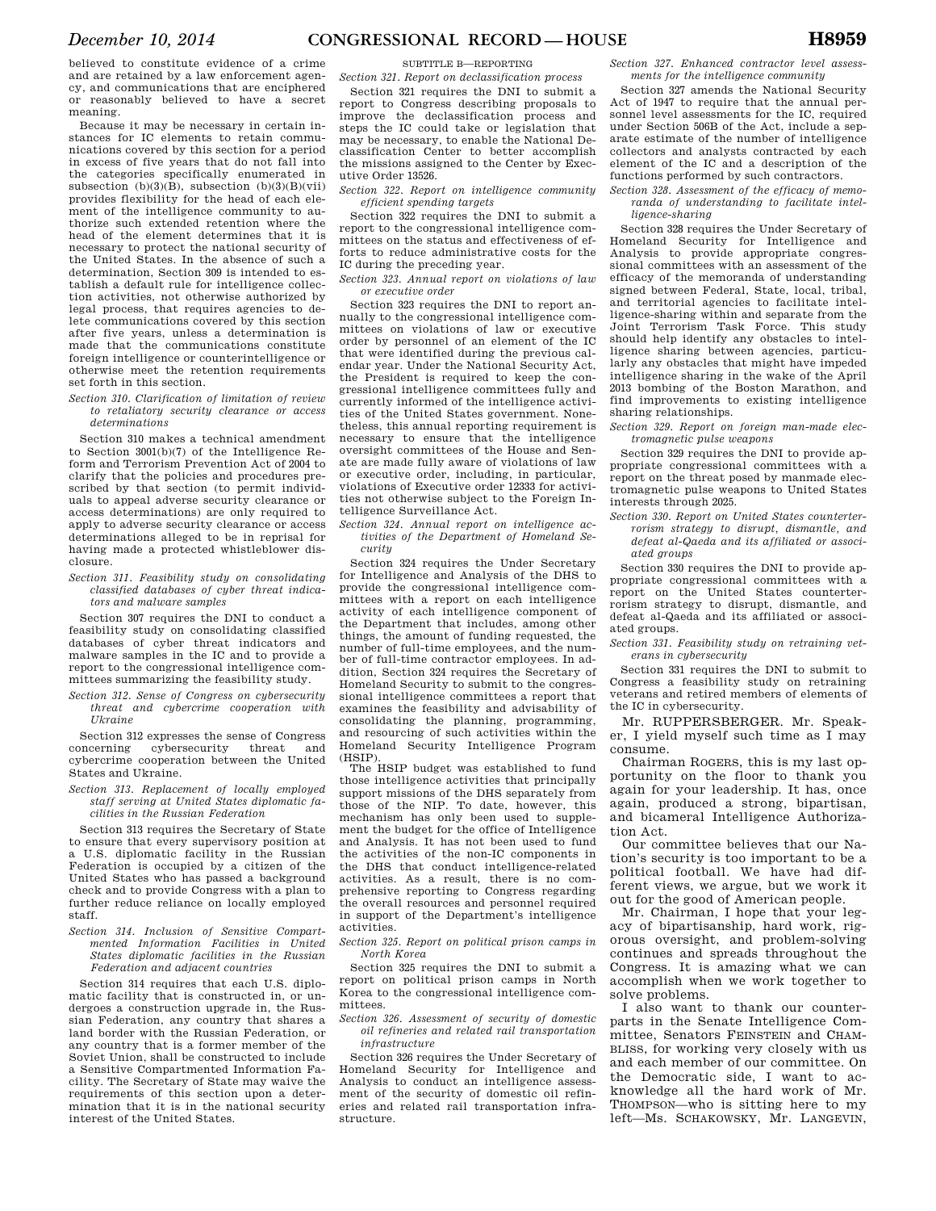believed to constitute evidence of a crime and are retained by a law enforcement agency, and communications that are enciphered or reasonably believed to have a secret meaning.

Because it may be necessary in certain instances for IC elements to retain communications covered by this section for a period in excess of five years that do not fall into the categories specifically enumerated in subsection  $(b)(3)(\overline{B})$ , subsection  $(b)(3)(\overline{B})(vii)$ provides flexibility for the head of each element of the intelligence community to authorize such extended retention where the head of the element determines that it is necessary to protect the national security of the United States. In the absence of such a determination, Section 309 is intended to establish a default rule for intelligence collection activities, not otherwise authorized by legal process, that requires agencies to delete communications covered by this section after five years, unless a determination is made that the communications constitute foreign intelligence or counterintelligence or otherwise meet the retention requirements set forth in this section.

*Section 310. Clarification of limitation of review to retaliatory security clearance or access determinations* 

Section 310 makes a technical amendment to Section 3001(b)(7) of the Intelligence Reform and Terrorism Prevention Act of 2004 to clarify that the policies and procedures prescribed by that section (to permit individuals to appeal adverse security clearance or access determinations) are only required to apply to adverse security clearance or access determinations alleged to be in reprisal for having made a protected whistleblower disclosure.

*Section 311. Feasibility study on consolidating classified databases of cyber threat indicators and malware samples* 

Section 307 requires the DNI to conduct a feasibility study on consolidating classified databases of cyber threat indicators and malware samples in the IC and to provide a report to the congressional intelligence committees summarizing the feasibility study.

*Section 312. Sense of Congress on cybersecurity threat and cybercrime cooperation with Ukraine* 

Section 312 expresses the sense of Congress concerning cybersecurity threat and cybercrime cooperation between the United States and Ukraine.

*Section 313. Replacement of locally employed staff serving at United States diplomatic facilities in the Russian Federation* 

Section 313 requires the Secretary of State to ensure that every supervisory position at a U.S. diplomatic facility in the Russian Federation is occupied by a citizen of the United States who has passed a background check and to provide Congress with a plan to further reduce reliance on locally employed staff.

*Section 314. Inclusion of Sensitive Compartmented Information Facilities in United States diplomatic facilities in the Russian Federation and adjacent countries* 

Section 314 requires that each U.S. diplomatic facility that is constructed in, or undergoes a construction upgrade in, the Russian Federation, any country that shares a land border with the Russian Federation, or any country that is a former member of the Soviet Union, shall be constructed to include a Sensitive Compartmented Information Facility. The Secretary of State may waive the requirements of this section upon a determination that it is in the national security interest of the United States.

SUBTITLE B—REPORTING

*Section 321. Report on declassification process* 

Section 321 requires the DNI to submit a report to Congress describing proposals to improve the declassification process and steps the IC could take or legislation that may be necessary, to enable the National Declassification Center to better accomplish the missions assigned to the Center by Executive Order 13526.

*Section 322. Report on intelligence community efficient spending targets* 

Section 322 requires the DNI to submit a report to the congressional intelligence committees on the status and effectiveness of efforts to reduce administrative costs for the IC during the preceding year.

*Section 323. Annual report on violations of law or executive order* 

Section 323 requires the DNI to report annually to the congressional intelligence committees on violations of law or executive order by personnel of an element of the IC that were identified during the previous calendar year. Under the National Security Act, the President is required to keep the congressional intelligence committees fully and currently informed of the intelligence activities of the United States government. Nonetheless, this annual reporting requirement is necessary to ensure that the intelligence oversight committees of the House and Senate are made fully aware of violations of law or executive order, including, in particular, violations of Executive order 12333 for activities not otherwise subject to the Foreign Intelligence Surveillance Act.

*Section 324. Annual report on intelligence activities of the Department of Homeland Security* 

Section 324 requires the Under Secretary for Intelligence and Analysis of the DHS to provide the congressional intelligence committees with a report on each intelligence activity of each intelligence component of the Department that includes, among other things, the amount of funding requested, the number of full-time employees, and the number of full-time contractor employees. In addition, Section 324 requires the Secretary of Homeland Security to submit to the congressional intelligence committees a report that examines the feasibility and advisability of consolidating the planning, programming, and resourcing of such activities within the Homeland Security Intelligence Program (HSIP).

The HSIP budget was established to fund those intelligence activities that principally support missions of the DHS separately from those of the NIP. To date, however, this mechanism has only been used to supplement the budget for the office of Intelligence and Analysis. It has not been used to fund the activities of the non-IC components in the DHS that conduct intelligence-related activities. As a result, there is no comprehensive reporting to Congress regarding the overall resources and personnel required in support of the Department's intelligence activities.

*Section 325. Report on political prison camps in North Korea* 

Section 325 requires the DNI to submit a report on political prison camps in North Korea to the congressional intelligence committees.

*Section 326. Assessment of security of domestic oil refineries and related rail transportation infrastructure* 

Section 326 requires the Under Secretary of Homeland Security for Intelligence and Analysis to conduct an intelligence assessment of the security of domestic oil refineries and related rail transportation infrastructure.

*Section 327. Enhanced contractor level assessments for the intelligence community* 

Section 327 amends the National Security Act of 1947 to require that the annual personnel level assessments for the IC, required under Section 506B of the Act, include a separate estimate of the number of intelligence collectors and analysts contracted by each element of the IC and a description of the functions performed by such contractors.

*Section 328. Assessment of the efficacy of memoranda of understanding to facilitate intelligence-sharing* 

Section 328 requires the Under Secretary of Homeland Security for Intelligence and Analysis to provide appropriate congressional committees with an assessment of the efficacy of the memoranda of understanding signed between Federal, State, local, tribal, and territorial agencies to facilitate intelligence-sharing within and separate from the Joint Terrorism Task Force. This study should help identify any obstacles to intelligence sharing between agencies, particularly any obstacles that might have impeded intelligence sharing in the wake of the April 2013 bombing of the Boston Marathon, and find improvements to existing intelligence sharing relationships.

*Section 329. Report on foreign man-made electromagnetic pulse weapons* 

Section 329 requires the DNI to provide appropriate congressional committees with a report on the threat posed by manmade electromagnetic pulse weapons to United States interests through 2025.

*Section 330. Report on United States counterterrorism strategy to disrupt, dismantle, and defeat al-Qaeda and its affiliated or associated groups* 

Section 330 requires the DNI to provide appropriate congressional committees with a report on the United States counterterrorism strategy to disrupt, dismantle, and defeat al-Qaeda and its affiliated or associated groups.

*Section 331. Feasibility study on retraining veterans in cybersecurity* 

Section 331 requires the DNI to submit to Congress a feasibility study on retraining veterans and retired members of elements of the IC in cybersecurity.

Mr. RUPPERSBERGER. Mr. Speaker, I yield myself such time as I may consume.

Chairman ROGERS, this is my last opportunity on the floor to thank you again for your leadership. It has, once again, produced a strong, bipartisan, and bicameral Intelligence Authorization Act.

Our committee believes that our Nation's security is too important to be a political football. We have had different views, we argue, but we work it out for the good of American people.

Mr. Chairman, I hope that your legacy of bipartisanship, hard work, rigorous oversight, and problem-solving continues and spreads throughout the Congress. It is amazing what we can accomplish when we work together to solve problems.

I also want to thank our counterparts in the Senate Intelligence Committee, Senators FEINSTEIN and CHAM-BLISS, for working very closely with us and each member of our committee. On the Democratic side, I want to acknowledge all the hard work of Mr. THOMPSON—who is sitting here to my left—Ms. SCHAKOWSKY, Mr. LANGEVIN,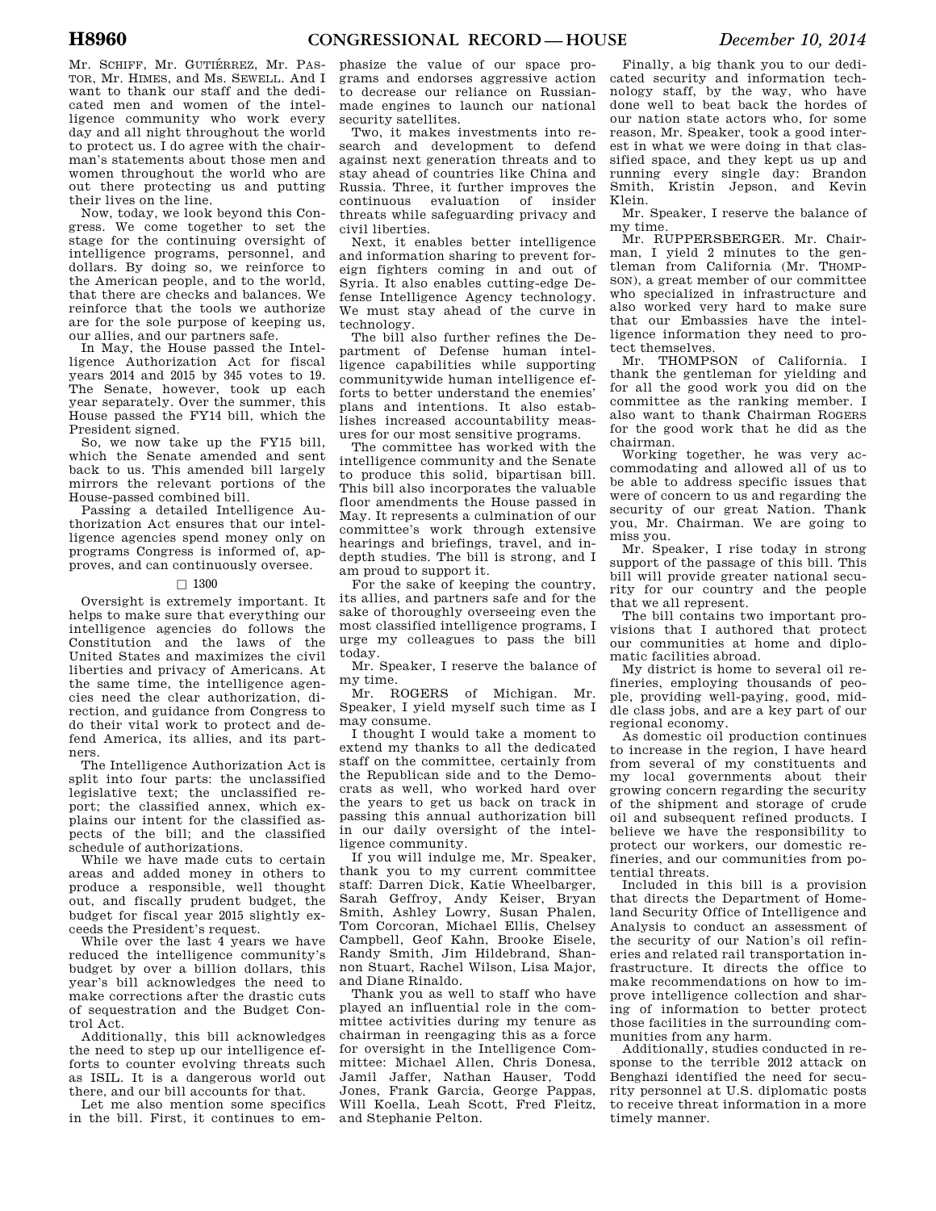Mr. SCHIFF, Mr. GUTIÉRREZ, Mr. PAS-TOR, Mr. HIMES, and Ms. SEWELL. And I want to thank our staff and the dedicated men and women of the intelligence community who work every day and all night throughout the world to protect us. I do agree with the chairman's statements about those men and women throughout the world who are out there protecting us and putting their lives on the line.

Now, today, we look beyond this Congress. We come together to set the stage for the continuing oversight of intelligence programs, personnel, and dollars. By doing so, we reinforce to the American people, and to the world, that there are checks and balances. We reinforce that the tools we authorize are for the sole purpose of keeping us, our allies, and our partners safe.

In May, the House passed the Intelligence Authorization Act for fiscal years 2014 and 2015 by 345 votes to 19. The Senate, however, took up each year separately. Over the summer, this House passed the FY14 bill, which the President signed.

So, we now take up the FY15 bill, which the Senate amended and sent back to us. This amended bill largely mirrors the relevant portions of the House-passed combined bill.

Passing a detailed Intelligence Authorization Act ensures that our intelligence agencies spend money only on programs Congress is informed of, approves, and can continuously oversee.

#### $\Box$  1300

Oversight is extremely important. It helps to make sure that everything our intelligence agencies do follows the Constitution and the laws of the United States and maximizes the civil liberties and privacy of Americans. At the same time, the intelligence agencies need the clear authorization, direction, and guidance from Congress to do their vital work to protect and defend America, its allies, and its partners.

The Intelligence Authorization Act is split into four parts: the unclassified legislative text; the unclassified report; the classified annex, which explains our intent for the classified aspects of the bill; and the classified schedule of authorizations.

While we have made cuts to certain areas and added money in others to produce a responsible, well thought out, and fiscally prudent budget, the budget for fiscal year 2015 slightly exceeds the President's request.

While over the last 4 years we have reduced the intelligence community's budget by over a billion dollars, this year's bill acknowledges the need to make corrections after the drastic cuts of sequestration and the Budget Control Act.

Additionally, this bill acknowledges the need to step up our intelligence efforts to counter evolving threats such as ISIL. It is a dangerous world out there, and our bill accounts for that.

Let me also mention some specifics in the bill. First, it continues to em-

phasize the value of our space programs and endorses aggressive action to decrease our reliance on Russianmade engines to launch our national security satellites.

Two, it makes investments into research and development to defend against next generation threats and to stay ahead of countries like China and Russia. Three, it further improves the<br>continuous evaluation of insider evaluation of insider threats while safeguarding privacy and civil liberties.

Next, it enables better intelligence and information sharing to prevent foreign fighters coming in and out of Syria. It also enables cutting-edge Defense Intelligence Agency technology. We must stay ahead of the curve in technology.

The bill also further refines the Department of Defense human intelligence capabilities while supporting communitywide human intelligence efforts to better understand the enemies' plans and intentions. It also establishes increased accountability measures for our most sensitive programs.

The committee has worked with the intelligence community and the Senate to produce this solid, bipartisan bill. This bill also incorporates the valuable floor amendments the House passed in May. It represents a culmination of our committee's work through extensive hearings and briefings, travel, and indepth studies. The bill is strong, and I am proud to support it.

For the sake of keeping the country, its allies, and partners safe and for the sake of thoroughly overseeing even the most classified intelligence programs, I urge my colleagues to pass the bill today.

Mr. Speaker, I reserve the balance of my time.

Mr. ROGERS of Michigan. Mr. Speaker, I yield myself such time as I may consume.

I thought I would take a moment to extend my thanks to all the dedicated staff on the committee, certainly from the Republican side and to the Democrats as well, who worked hard over the years to get us back on track in passing this annual authorization bill in our daily oversight of the intelligence community.

If you will indulge me, Mr. Speaker, thank you to my current committee staff: Darren Dick, Katie Wheelbarger, Sarah Geffroy, Andy Keiser, Bryan Smith, Ashley Lowry, Susan Phalen, Tom Corcoran, Michael Ellis, Chelsey Campbell, Geof Kahn, Brooke Eisele, Randy Smith, Jim Hildebrand, Shannon Stuart, Rachel Wilson, Lisa Major, and Diane Rinaldo.

Thank you as well to staff who have played an influential role in the committee activities during my tenure as chairman in reengaging this as a force for oversight in the Intelligence Committee: Michael Allen, Chris Donesa, Jamil Jaffer, Nathan Hauser, Todd Jones, Frank Garcia, George Pappas, Will Koella, Leah Scott, Fred Fleitz, and Stephanie Pelton.

Finally, a big thank you to our dedicated security and information technology staff, by the way, who have done well to beat back the hordes of our nation state actors who, for some reason, Mr. Speaker, took a good interest in what we were doing in that classified space, and they kept us up and running every single day: Brandon Smith, Kristin Jepson, and Kevin Klein.

Mr. Speaker, I reserve the balance of my time.

Mr. RUPPERSBERGER. Mr. Chairman, I yield 2 minutes to the gentleman from California (Mr. THOMP-SON), a great member of our committee who specialized in infrastructure and also worked very hard to make sure that our Embassies have the intelligence information they need to protect themselves.

Mr. THOMPSON of California. I thank the gentleman for yielding and for all the good work you did on the committee as the ranking member. I also want to thank Chairman ROGERS for the good work that he did as the chairman.

Working together, he was very accommodating and allowed all of us to be able to address specific issues that were of concern to us and regarding the security of our great Nation. Thank you, Mr. Chairman. We are going to miss you.

Mr. Speaker, I rise today in strong support of the passage of this bill. This bill will provide greater national security for our country and the people that we all represent.

The bill contains two important provisions that I authored that protect our communities at home and diplomatic facilities abroad.

My district is home to several oil refineries, employing thousands of people, providing well-paying, good, middle class jobs, and are a key part of our regional economy.

As domestic oil production continues to increase in the region, I have heard from several of my constituents and my local governments about their growing concern regarding the security of the shipment and storage of crude oil and subsequent refined products. I believe we have the responsibility to protect our workers, our domestic refineries, and our communities from potential threats.

Included in this bill is a provision that directs the Department of Homeland Security Office of Intelligence and Analysis to conduct an assessment of the security of our Nation's oil refineries and related rail transportation infrastructure. It directs the office to make recommendations on how to improve intelligence collection and sharing of information to better protect those facilities in the surrounding communities from any harm.

Additionally, studies conducted in response to the terrible 2012 attack on Benghazi identified the need for security personnel at U.S. diplomatic posts to receive threat information in a more timely manner.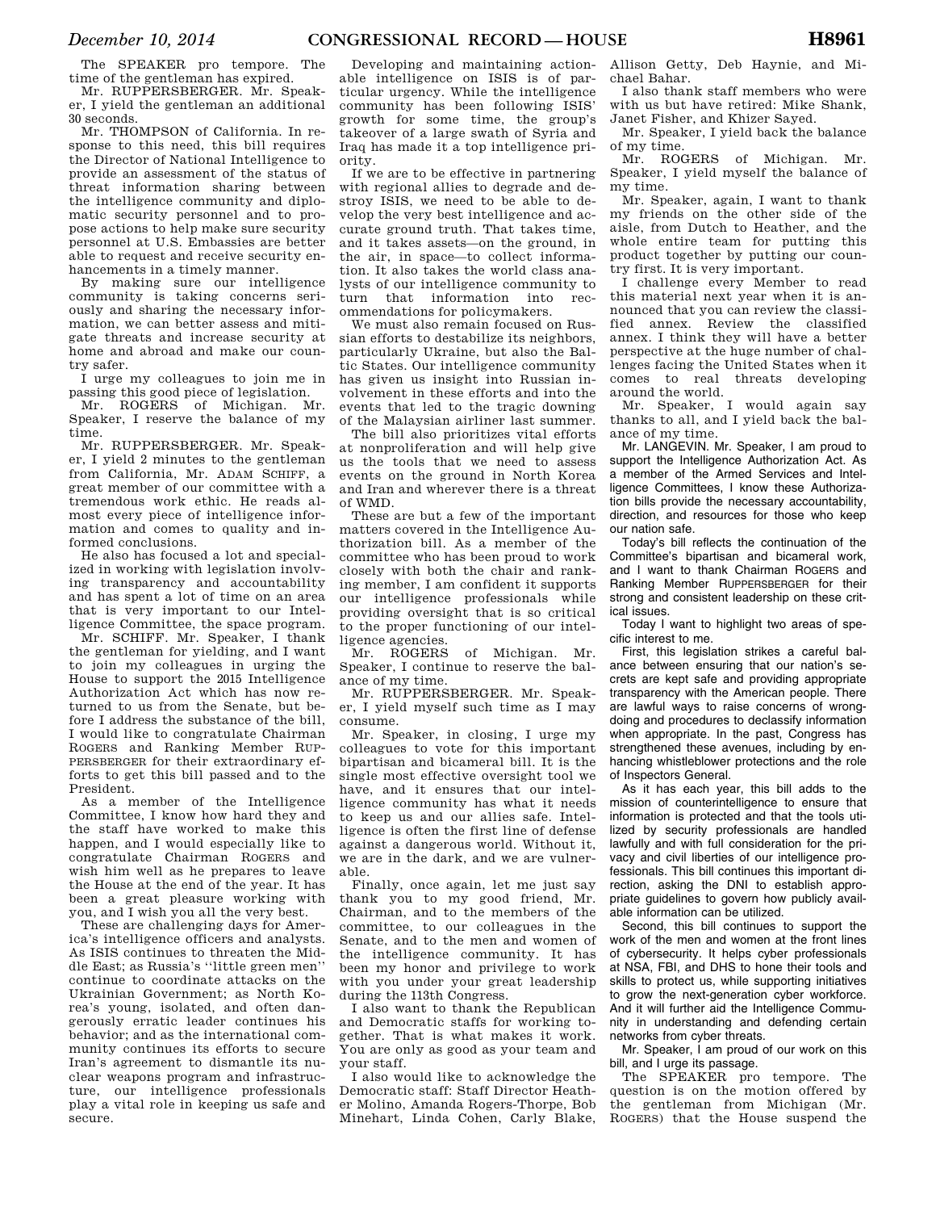The SPEAKER pro tempore. The time of the gentleman has expired.

Mr. RUPPERSBERGER. Mr. Speaker, I yield the gentleman an additional 30 seconds.

Mr. THOMPSON of California. In response to this need, this bill requires the Director of National Intelligence to provide an assessment of the status of threat information sharing between the intelligence community and diplomatic security personnel and to propose actions to help make sure security personnel at U.S. Embassies are better able to request and receive security enhancements in a timely manner.

By making sure our intelligence community is taking concerns seriously and sharing the necessary information, we can better assess and mitigate threats and increase security at home and abroad and make our country safer.

I urge my colleagues to join me in passing this good piece of legislation.

Mr. ROGERS of Michigan. Mr. Speaker, I reserve the balance of my time.

Mr. RUPPERSBERGER. Mr. Speaker, I yield 2 minutes to the gentleman from California, Mr. ADAM SCHIFF, a great member of our committee with a tremendous work ethic. He reads almost every piece of intelligence information and comes to quality and informed conclusions.

He also has focused a lot and specialized in working with legislation involving transparency and accountability and has spent a lot of time on an area that is very important to our Intelligence Committee, the space program.

Mr. SCHIFF. Mr. Speaker, I thank the gentleman for yielding, and I want to join my colleagues in urging the House to support the 2015 Intelligence Authorization Act which has now returned to us from the Senate, but before I address the substance of the bill, I would like to congratulate Chairman ROGERS and Ranking Member RUP-PERSBERGER for their extraordinary efforts to get this bill passed and to the President.

As a member of the Intelligence Committee, I know how hard they and the staff have worked to make this happen, and I would especially like to congratulate Chairman ROGERS and wish him well as he prepares to leave the House at the end of the year. It has been a great pleasure working with you, and I wish you all the very best.

These are challenging days for America's intelligence officers and analysts. As ISIS continues to threaten the Middle East; as Russia's ''little green men'' continue to coordinate attacks on the Ukrainian Government; as North Korea's young, isolated, and often dangerously erratic leader continues his behavior; and as the international community continues its efforts to secure Iran's agreement to dismantle its nuclear weapons program and infrastructure, our intelligence professionals play a vital role in keeping us safe and secure.

Developing and maintaining actionable intelligence on ISIS is of particular urgency. While the intelligence community has been following ISIS' growth for some time, the group's takeover of a large swath of Syria and Iraq has made it a top intelligence priority.

If we are to be effective in partnering with regional allies to degrade and destroy ISIS, we need to be able to develop the very best intelligence and accurate ground truth. That takes time, and it takes assets—on the ground, in the air, in space—to collect information. It also takes the world class analysts of our intelligence community to turn that information into recommendations for policymakers.

We must also remain focused on Russian efforts to destabilize its neighbors, particularly Ukraine, but also the Baltic States. Our intelligence community has given us insight into Russian involvement in these efforts and into the events that led to the tragic downing of the Malaysian airliner last summer.

The bill also prioritizes vital efforts at nonproliferation and will help give us the tools that we need to assess events on the ground in North Korea and Iran and wherever there is a threat of WMD.

These are but a few of the important matters covered in the Intelligence Authorization bill. As a member of the committee who has been proud to work closely with both the chair and ranking member, I am confident it supports our intelligence professionals while providing oversight that is so critical to the proper functioning of our intel-

ligence agencies.<br>Mr. ROGERS of Michigan. Mr. Speaker, I continue to reserve the balance of my time.

Mr. RUPPERSBERGER. Mr. Speaker, I yield myself such time as I may consume.

Mr. Speaker, in closing, I urge my colleagues to vote for this important bipartisan and bicameral bill. It is the single most effective oversight tool we have, and it ensures that our intelligence community has what it needs to keep us and our allies safe. Intelligence is often the first line of defense against a dangerous world. Without it, we are in the dark, and we are vulnerable.

Finally, once again, let me just say thank you to my good friend, Mr. Chairman, and to the members of the committee, to our colleagues in the Senate, and to the men and women of the intelligence community. It has been my honor and privilege to work with you under your great leadership during the 113th Congress.

I also want to thank the Republican and Democratic staffs for working together. That is what makes it work. You are only as good as your team and your staff.

I also would like to acknowledge the Democratic staff: Staff Director Heather Molino, Amanda Rogers-Thorpe, Bob Minehart, Linda Cohen, Carly Blake,

Allison Getty, Deb Haynie, and Michael Bahar.

I also thank staff members who were with us but have retired: Mike Shank, Janet Fisher, and Khizer Sayed.

Mr. Speaker, I yield back the balance of my time.

Mr. ROGERS of Michigan. Mr. Speaker, I yield myself the balance of my time.

Mr. Speaker, again, I want to thank my friends on the other side of the aisle, from Dutch to Heather, and the whole entire team for putting this product together by putting our country first. It is very important.

I challenge every Member to read this material next year when it is announced that you can review the classified annex. Review the classified annex. I think they will have a better perspective at the huge number of challenges facing the United States when it comes to real threats developing around the world.

Mr. Speaker, I would again say thanks to all, and I yield back the balance of my time.

Mr. LANGEVIN. Mr. Speaker, I am proud to support the Intelligence Authorization Act. As a member of the Armed Services and Intelligence Committees, I know these Authorization bills provide the necessary accountability, direction, and resources for those who keep our nation safe.

Today's bill reflects the continuation of the Committee's bipartisan and bicameral work, and I want to thank Chairman ROGERS and Ranking Member RUPPERSBERGER for their strong and consistent leadership on these critical issues.

Today I want to highlight two areas of specific interest to me.

First, this legislation strikes a careful balance between ensuring that our nation's secrets are kept safe and providing appropriate transparency with the American people. There are lawful ways to raise concerns of wrongdoing and procedures to declassify information when appropriate. In the past, Congress has strengthened these avenues, including by enhancing whistleblower protections and the role of Inspectors General.

As it has each year, this bill adds to the mission of counterintelligence to ensure that information is protected and that the tools utilized by security professionals are handled lawfully and with full consideration for the privacy and civil liberties of our intelligence professionals. This bill continues this important direction, asking the DNI to establish appropriate guidelines to govern how publicly available information can be utilized.

Second, this bill continues to support the work of the men and women at the front lines of cybersecurity. It helps cyber professionals at NSA, FBI, and DHS to hone their tools and skills to protect us, while supporting initiatives to grow the next-generation cyber workforce. And it will further aid the Intelligence Community in understanding and defending certain networks from cyber threats.

Mr. Speaker, I am proud of our work on this bill, and I urge its passage.

The SPEAKER pro tempore. The question is on the motion offered by the gentleman from Michigan (Mr. ROGERS) that the House suspend the